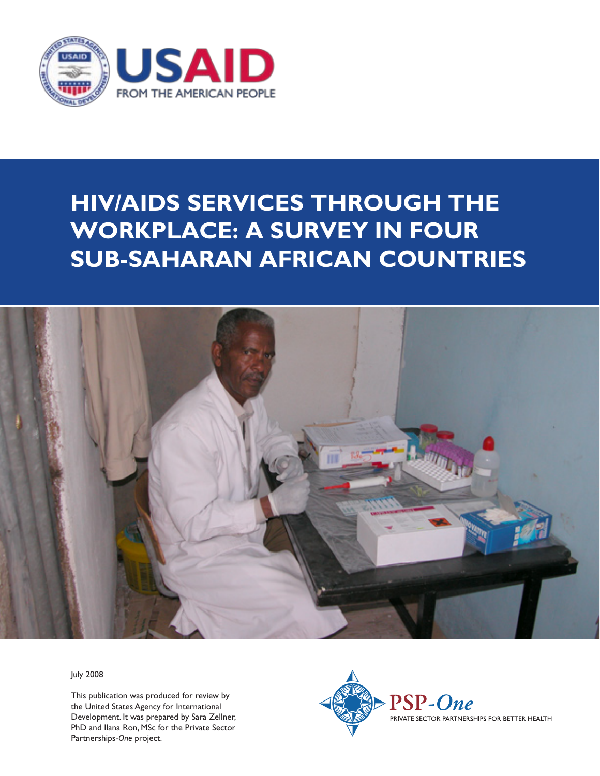

# **hiv/aids services through the workplace: a survey in four sub-saharan african countries**



July 2008

This publication was produced for review by the United States Agency for International Development. It was prepared by Sara Zellner, PhD and Ilana Ron, MSc for the Private Sector Partnerships-*One* project.

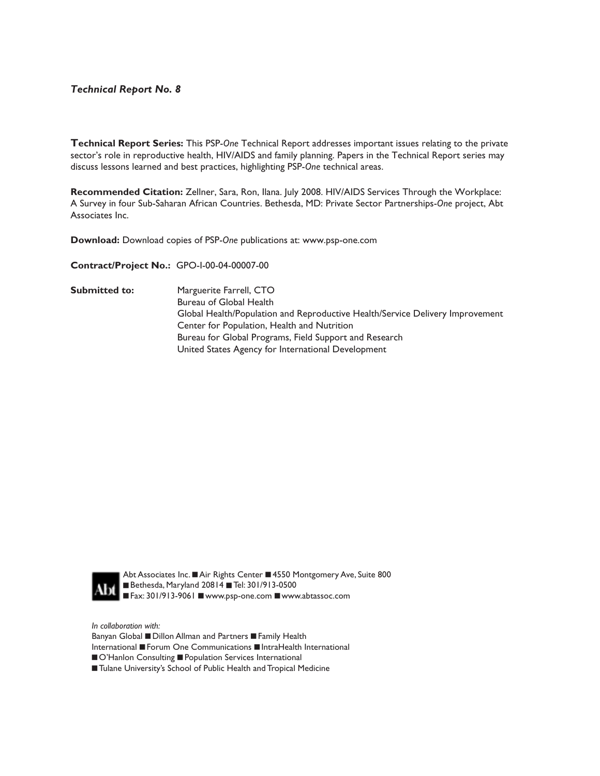#### *Technical Report No. Technical Report No. 8*

Technical Report Series: This PSP-One Technical Report addresses important issues relating to the private sector's role in reproductive health, HIV/AIDS and family planning. Papers in the Technical Report series may<br>"his learned and family planning. Paper in the papers in the Technical Report series may best practices, highlighting PSP-*One* technical areas. discuss lessons learned and best practices, highlighting PSP-*One* technical areas.

A Survey in four Sub-Saharan African Countries. Bethesda, MD: Private Sector Partnerships-One project, Abt and [Third Author (First Last]. [Report Date]. *[Report Title]..* Bethesda, MD: Private Sector Partnerships-*One* Associates Inc. **Recommended Citation:** Zellner, Sara, Ron, Ilana. July 2008. HIV/AIDS Services Through the Workplace:

**Download:** Download copies of PSP-*One* publications at: www.psp-one.com

**Contract/Project No.:** GPO-I-00-04-00007-00

**Submitted to:** Marguerite Farrell, CTO Global Health/Population and Reproductive Health/Service Delivery Improvement Center for Population, Health and Nutrition Bureau for Global Programs, Field Support and Research United States Agency for International Development Bureau of Global Health



Abt Associates Inc. ■ Air Rights Center ■ 4550 Montgomery Ave, Suite 800 ■ Bethesda, Maryland 20814 ■ Tel: 301/913-0500 ■ Fax: 301/913-9061 ■ www.psp-one.com ■ www.abtassoc.com

*In collaboration with: In collaboration with:*

Banyan Global **=** Dillon Allman and Partners **=** Family Health

International **■** Forum One Communications ■ IntraHealth International

 $\blacksquare$  O'Hanlon Consulting  $\blacksquare$  Population Services International

 $\blacksquare$  Tulane University's School of Public Health and Tropical Medicine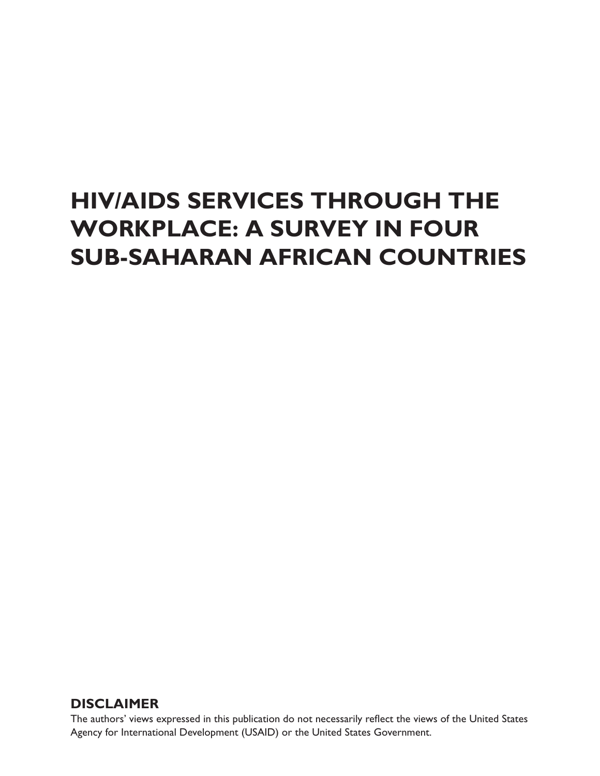# **HIV/AIDS Services through the Workplace: A Survey in Four Sub-Saharan African Countries**

# **DISCLAIMER**

The authors' views expressed in this publication do not necessarily reflect the views of the United States Agency for International Development (USAID) or the United States Government.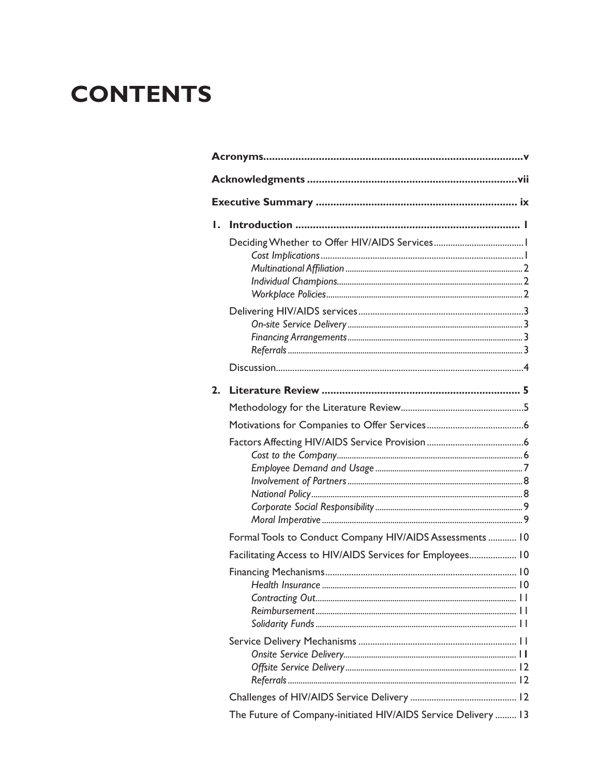# **CONTENTS**

| ı. |                                                               |  |
|----|---------------------------------------------------------------|--|
|    |                                                               |  |
|    |                                                               |  |
|    |                                                               |  |
|    |                                                               |  |
|    |                                                               |  |
|    |                                                               |  |
|    |                                                               |  |
|    |                                                               |  |
| 2. |                                                               |  |
|    |                                                               |  |
|    |                                                               |  |
|    |                                                               |  |
|    |                                                               |  |
|    |                                                               |  |
|    |                                                               |  |
|    |                                                               |  |
|    |                                                               |  |
|    | Formal Tools to Conduct Company HIV/AIDS Assessments  10      |  |
|    | Facilitating Access to HIV/AIDS Services for Employees 10     |  |
|    |                                                               |  |
|    |                                                               |  |
|    |                                                               |  |
|    |                                                               |  |
|    |                                                               |  |
|    |                                                               |  |
|    |                                                               |  |
|    |                                                               |  |
|    |                                                               |  |
|    | The Future of Company-initiated HIV/AIDS Service Delivery  13 |  |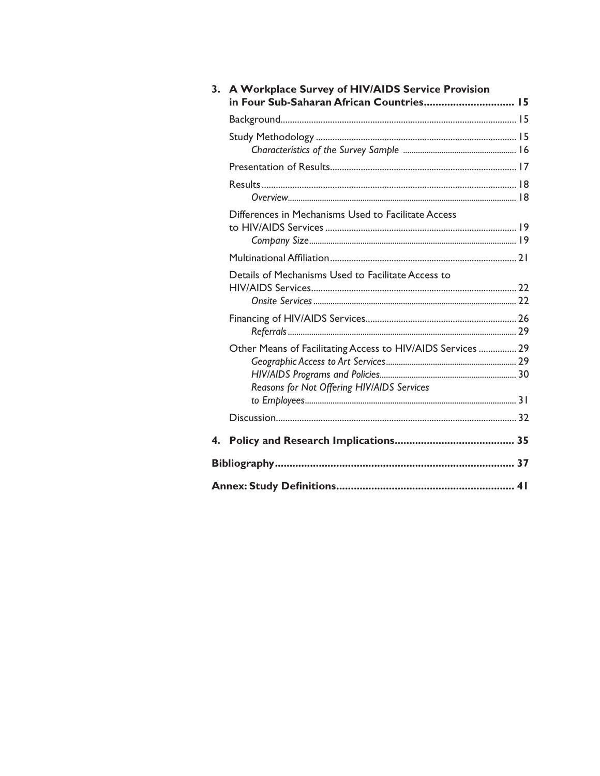| in Four Sub-Saharan African Countries 15                    |                                                                                                   |
|-------------------------------------------------------------|---------------------------------------------------------------------------------------------------|
|                                                             |                                                                                                   |
|                                                             |                                                                                                   |
|                                                             |                                                                                                   |
|                                                             |                                                                                                   |
| Differences in Mechanisms Used to Facilitate Access         |                                                                                                   |
|                                                             |                                                                                                   |
| Details of Mechanisms Used to Facilitate Access to          |                                                                                                   |
|                                                             |                                                                                                   |
| Other Means of Facilitating Access to HIV/AIDS Services  29 |                                                                                                   |
|                                                             |                                                                                                   |
|                                                             |                                                                                                   |
|                                                             |                                                                                                   |
|                                                             |                                                                                                   |
|                                                             |                                                                                                   |
|                                                             | 3. A Workplace Survey of HIV/AIDS Service Provision<br>Reasons for Not Offering HIV/AIDS Services |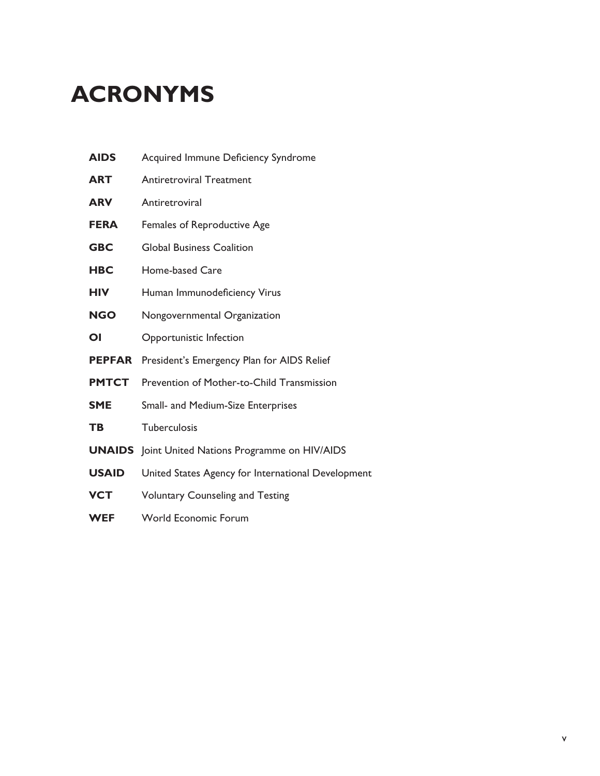# **Acronyms**

| <b>AIDS</b>   | Acquired Immune Deficiency Syndrome                      |
|---------------|----------------------------------------------------------|
| ART           | <b>Antiretroviral Treatment</b>                          |
| <b>ARV</b>    | Antiretroviral                                           |
| <b>FERA</b>   | Females of Reproductive Age                              |
| <b>GBC</b>    | <b>Global Business Coalition</b>                         |
| <b>HBC</b>    | Home-based Care                                          |
| <b>HIV</b>    | Human Immunodeficiency Virus                             |
| <b>NGO</b>    | Nongovernmental Organization                             |
| ΟI            | Opportunistic Infection                                  |
| <b>PEPFAR</b> | President's Emergency Plan for AIDS Relief               |
| <b>PMTCT</b>  | Prevention of Mother-to-Child Transmission               |
| <b>SME</b>    | <b>Small- and Medium-Size Enterprises</b>                |
| <b>TB</b>     | Tuberculosis                                             |
|               | <b>UNAIDS</b> Joint United Nations Programme on HIV/AIDS |
| <b>USAID</b>  | United States Agency for International Development       |
| VCT           | <b>Voluntary Counseling and Testing</b>                  |
| <b>WEF</b>    | <b>World Economic Forum</b>                              |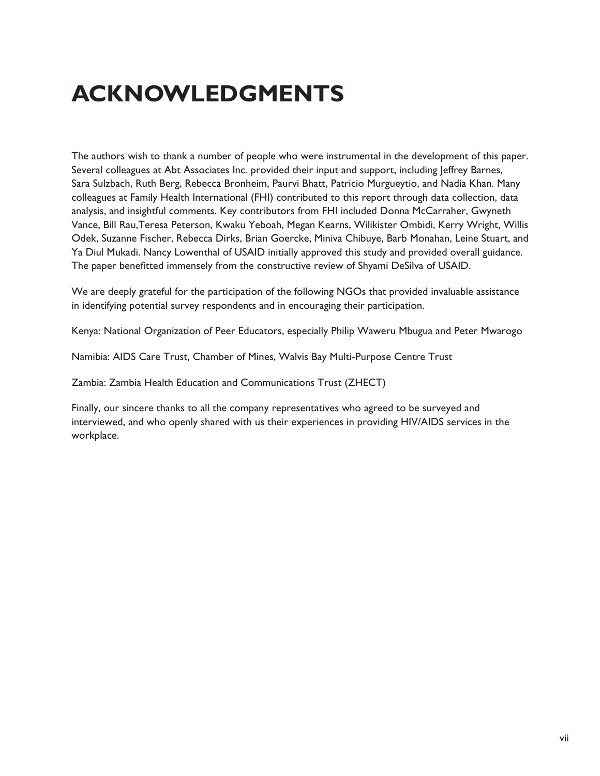# **ACKNOWLEDGMENTS**

The authors wish to thank a number of people who were instrumental in the development of this paper. Several colleagues at Abt Associates Inc. provided their input and support, including Jeffrey Barnes, Sara Sulzbach, Ruth Berg, Rebecca Bronheim, Paurvi Bhatt, Patricio Murgueytio, and Nadia Khan. Many colleagues at Family Health International (FHI) contributed to this report through data collection, data analysis, and insightful comments. Key contributors from FHI included Donna McCarraher, Gwyneth Vance, Bill Rau,Teresa Peterson, Kwaku Yeboah, Megan Kearns, Wilikister Ombidi, Kerry Wright, Willis Odek, Suzanne Fischer, Rebecca Dirks, Brian Goercke, Miniva Chibuye, Barb Monahan, Leine Stuart, and Ya Diul Mukadi. Nancy Lowenthal of USAID initially approved this study and provided overall guidance. The paper benefitted immensely from the constructive review of Shyami DeSilva of USAID.

We are deeply grateful for the participation of the following NGOs that provided invaluable assistance in identifying potential survey respondents and in encouraging their participation.

Kenya: National Organization of Peer Educators, especially Philip Waweru Mbugua and Peter Mwarogo

Namibia: AIDS Care Trust, Chamber of Mines, Walvis Bay Multi-Purpose Centre Trust

Zambia: Zambia Health Education and Communications Trust (ZHECT)

Finally, our sincere thanks to all the company representatives who agreed to be surveyed and interviewed, and who openly shared with us their experiences in providing HIV/AIDS services in the workplace.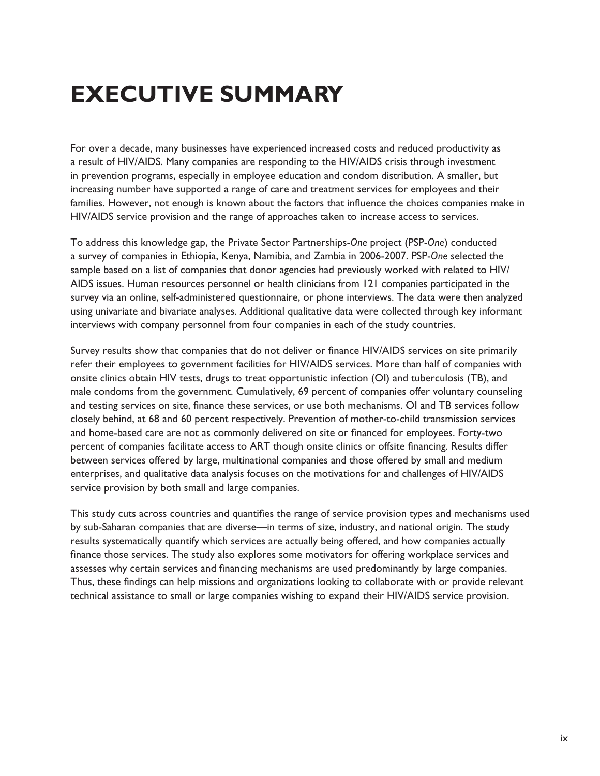# **Executive Summary**

For over a decade, many businesses have experienced increased costs and reduced productivity as a result of HIV/AIDS. Many companies are responding to the HIV/AIDS crisis through investment in prevention programs, especially in employee education and condom distribution. A smaller, but increasing number have supported a range of care and treatment services for employees and their families. However, not enough is known about the factors that influence the choices companies make in HIV/AIDS service provision and the range of approaches taken to increase access to services.

To address this knowledge gap, the Private Sector Partnerships-*One* project (PSP-*One*) conducted a survey of companies in Ethiopia, Kenya, Namibia, and Zambia in 2006-2007. PSP-*One* selected the sample based on a list of companies that donor agencies had previously worked with related to HIV/ AIDS issues. Human resources personnel or health clinicians from 121 companies participated in the survey via an online, self-administered questionnaire, or phone interviews. The data were then analyzed using univariate and bivariate analyses. Additional qualitative data were collected through key informant interviews with company personnel from four companies in each of the study countries.

Survey results show that companies that do not deliver or finance HIV/AIDS services on site primarily refer their employees to government facilities for HIV/AIDS services. More than half of companies with onsite clinics obtain HIV tests, drugs to treat opportunistic infection (OI) and tuberculosis (TB), and male condoms from the government. Cumulatively, 69 percent of companies offer voluntary counseling and testing services on site, finance these services, or use both mechanisms. OI and TB services follow closely behind, at 68 and 60 percent respectively. Prevention of mother-to-child transmission services and home-based care are not as commonly delivered on site or financed for employees. Forty-two percent of companies facilitate access to ART though onsite clinics or offsite financing. Results differ between services offered by large, multinational companies and those offered by small and medium enterprises, and qualitative data analysis focuses on the motivations for and challenges of HIV/AIDS service provision by both small and large companies.

This study cuts across countries and quantifies the range of service provision types and mechanisms used by sub-Saharan companies that are diverse—in terms of size, industry, and national origin. The study results systematically quantify which services are actually being offered, and how companies actually finance those services. The study also explores some motivators for offering workplace services and assesses why certain services and financing mechanisms are used predominantly by large companies. Thus, these findings can help missions and organizations looking to collaborate with or provide relevant technical assistance to small or large companies wishing to expand their HIV/AIDS service provision.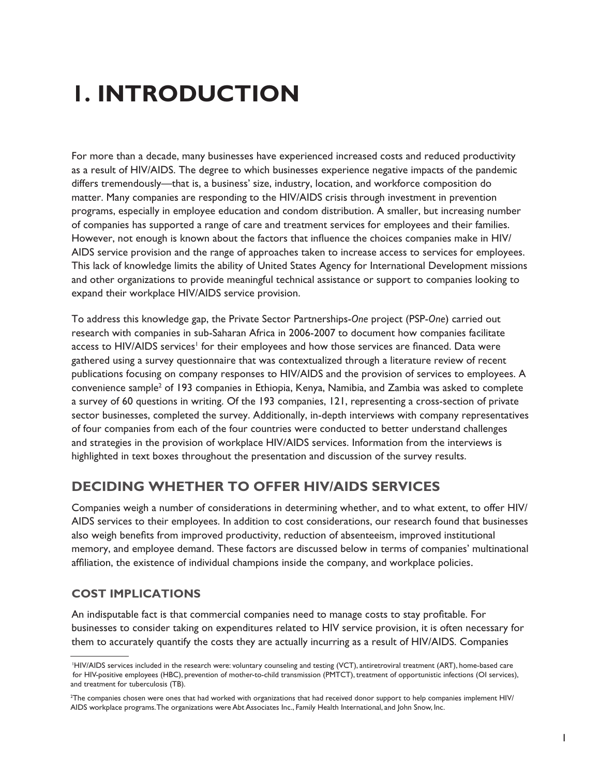# **1. Introduction**

For more than a decade, many businesses have experienced increased costs and reduced productivity as a result of HIV/AIDS. The degree to which businesses experience negative impacts of the pandemic differs tremendously—that is, a business' size, industry, location, and workforce composition do matter. Many companies are responding to the HIV/AIDS crisis through investment in prevention programs, especially in employee education and condom distribution. A smaller, but increasing number of companies has supported a range of care and treatment services for employees and their families. However, not enough is known about the factors that influence the choices companies make in HIV/ AIDS service provision and the range of approaches taken to increase access to services for employees. This lack of knowledge limits the ability of United States Agency for International Development missions and other organizations to provide meaningful technical assistance or support to companies looking to expand their workplace HIV/AIDS service provision.

To address this knowledge gap, the Private Sector Partnerships-*One* project (PSP-*One*) carried out research with companies in sub-Saharan Africa in 2006-2007 to document how companies facilitate access to HIV/AIDS services<sup>1</sup> for their employees and how those services are financed. Data were gathered using a survey questionnaire that was contextualized through a literature review of recent publications focusing on company responses to HIV/AIDS and the provision of services to employees. A convenience sample<sup>2</sup> of 193 companies in Ethiopia, Kenya, Namibia, and Zambia was asked to complete a survey of 60 questions in writing. Of the 193 companies, 121, representing a cross-section of private sector businesses, completed the survey. Additionally, in-depth interviews with company representatives of four companies from each of the four countries were conducted to better understand challenges and strategies in the provision of workplace HIV/AIDS services. Information from the interviews is highlighted in text boxes throughout the presentation and discussion of the survey results.

# **Deciding Whether to Offer HIV/AIDS Services**

Companies weigh a number of considerations in determining whether, and to what extent, to offer HIV/ AIDS services to their employees. In addition to cost considerations, our research found that businesses also weigh benefits from improved productivity, reduction of absenteeism, improved institutional memory, and employee demand. These factors are discussed below in terms of companies' multinational affiliation, the existence of individual champions inside the company, and workplace policies.

## **Cost Implications**

An indisputable fact is that commercial companies need to manage costs to stay profitable. For businesses to consider taking on expenditures related to HIV service provision, it is often necessary for them to accurately quantify the costs they are actually incurring as a result of HIV/AIDS. Companies

 <sup>1</sup>HIV/AIDS services included in the research were: voluntary counseling and testing (VCT), antiretroviral treatment (ART), home-based care for HIV-positive employees (HBC), prevention of mother-to-child transmission (PMTCT), treatment of opportunistic infections (OI services), and treatment for tuberculosis (TB).

<sup>2</sup> The companies chosen were ones that had worked with organizations that had received donor support to help companies implement HIV/ AIDS workplace programs. The organizations were Abt Associates Inc., Family Health International, and John Snow, Inc.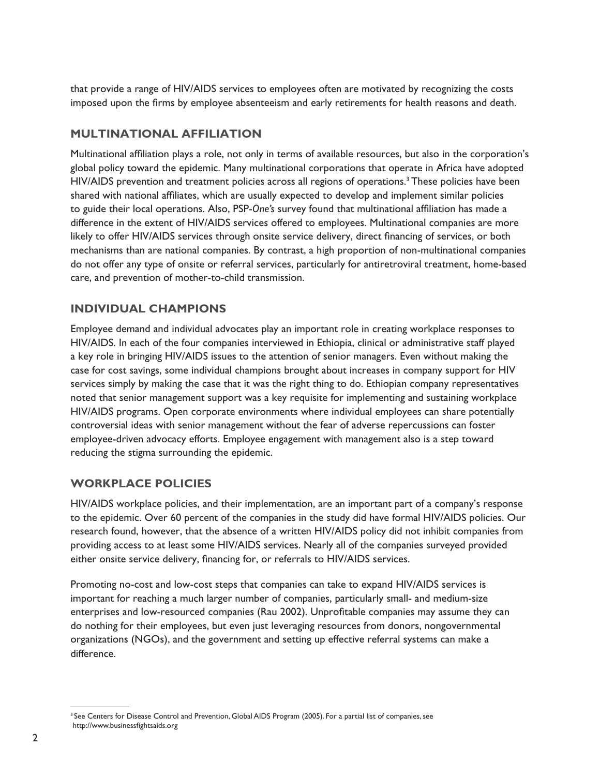that provide a range of HIV/AIDS services to employees often are motivated by recognizing the costs imposed upon the firms by employee absenteeism and early retirements for health reasons and death.

## **Multinational Affiliation**

Multinational affiliation plays a role, not only in terms of available resources, but also in the corporation's global policy toward the epidemic. Many multinational corporations that operate in Africa have adopted HIV/AIDS prevention and treatment policies across all regions of operations.<sup>3</sup> These policies have been shared with national affiliates, which are usually expected to develop and implement similar policies to guide their local operations. Also, PSP-*One's* survey found that multinational affiliation has made a difference in the extent of HIV/AIDS services offered to employees. Multinational companies are more likely to offer HIV/AIDS services through onsite service delivery, direct financing of services, or both mechanisms than are national companies. By contrast, a high proportion of non-multinational companies do not offer any type of onsite or referral services, particularly for antiretroviral treatment, home-based care, and prevention of mother-to-child transmission.

## **Individual Champions**

Employee demand and individual advocates play an important role in creating workplace responses to HIV/AIDS. In each of the four companies interviewed in Ethiopia, clinical or administrative staff played a key role in bringing HIV/AIDS issues to the attention of senior managers. Even without making the case for cost savings, some individual champions brought about increases in company support for HIV services simply by making the case that it was the right thing to do. Ethiopian company representatives noted that senior management support was a key requisite for implementing and sustaining workplace HIV/AIDS programs. Open corporate environments where individual employees can share potentially controversial ideas with senior management without the fear of adverse repercussions can foster employee-driven advocacy efforts. Employee engagement with management also is a step toward reducing the stigma surrounding the epidemic.

## **Workplace Policies**

HIV/AIDS workplace policies, and their implementation, are an important part of a company's response to the epidemic. Over 60 percent of the companies in the study did have formal HIV/AIDS policies. Our research found, however, that the absence of a written HIV/AIDS policy did not inhibit companies from providing access to at least some HIV/AIDS services. Nearly all of the companies surveyed provided either onsite service delivery, financing for, or referrals to HIV/AIDS services.

Promoting no-cost and low-cost steps that companies can take to expand HIV/AIDS services is important for reaching a much larger number of companies, particularly small- and medium-size enterprises and low-resourced companies (Rau 2002). Unprofitable companies may assume they can do nothing for their employees, but even just leveraging resources from donors, nongovernmental organizations (NGOs), and the government and setting up effective referral systems can make a difference.

<sup>&</sup>lt;sup>3</sup> See Centers for Disease Control and Prevention, Global AIDS Program (2005). For a partial list of companies, see http://www.businessfightsaids.org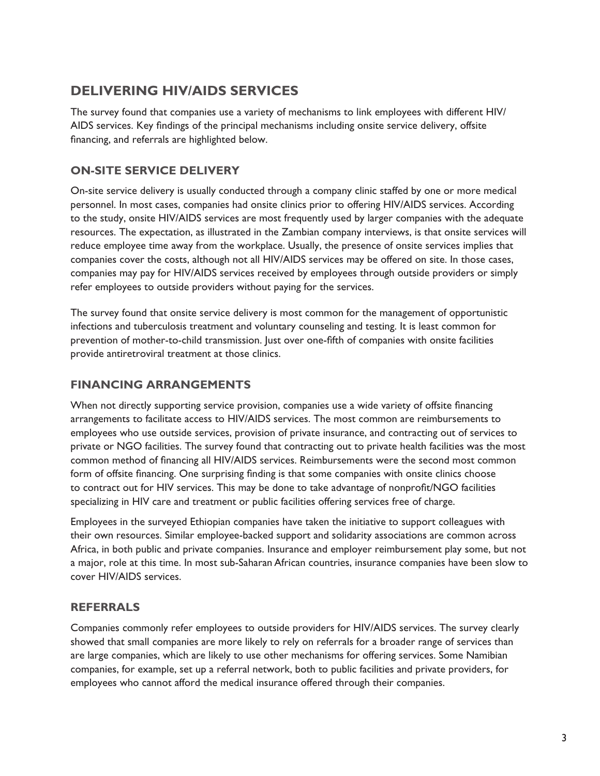# **Delivering HIV/AIDS Services**

The survey found that companies use a variety of mechanisms to link employees with different HIV/ AIDS services. Key findings of the principal mechanisms including onsite service delivery, offsite financing, and referrals are highlighted below.

## **On-site Service Delivery**

On-site service delivery is usually conducted through a company clinic staffed by one or more medical personnel. In most cases, companies had onsite clinics prior to offering HIV/AIDS services. According to the study, onsite HIV/AIDS services are most frequently used by larger companies with the adequate resources. The expectation, as illustrated in the Zambian company interviews, is that onsite services will reduce employee time away from the workplace. Usually, the presence of onsite services implies that companies cover the costs, although not all HIV/AIDS services may be offered on site. In those cases, companies may pay for HIV/AIDS services received by employees through outside providers or simply refer employees to outside providers without paying for the services.

The survey found that onsite service delivery is most common for the management of opportunistic infections and tuberculosis treatment and voluntary counseling and testing. It is least common for prevention of mother-to-child transmission. Just over one-fifth of companies with onsite facilities provide antiretroviral treatment at those clinics.

## **Financing Arrangements**

When not directly supporting service provision, companies use a wide variety of offsite financing arrangements to facilitate access to HIV/AIDS services. The most common are reimbursements to employees who use outside services, provision of private insurance, and contracting out of services to private or NGO facilities. The survey found that contracting out to private health facilities was the most common method of financing all HIV/AIDS services. Reimbursements were the second most common form of offsite financing. One surprising finding is that some companies with onsite clinics choose to contract out for HIV services. This may be done to take advantage of nonprofit/NGO facilities specializing in HIV care and treatment or public facilities offering services free of charge.

Employees in the surveyed Ethiopian companies have taken the initiative to support colleagues with their own resources. Similar employee-backed support and solidarity associations are common across Africa, in both public and private companies. Insurance and employer reimbursement play some, but not a major, role at this time. In most sub-Saharan African countries, insurance companies have been slow to cover HIV/AIDS services.

## **Referrals**

Companies commonly refer employees to outside providers for HIV/AIDS services. The survey clearly showed that small companies are more likely to rely on referrals for a broader range of services than are large companies, which are likely to use other mechanisms for offering services. Some Namibian companies, for example, set up a referral network, both to public facilities and private providers, for employees who cannot afford the medical insurance offered through their companies.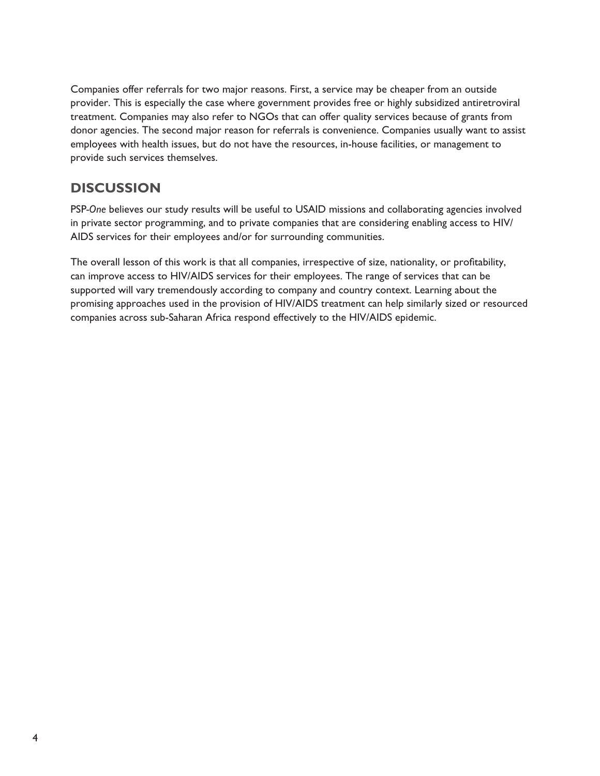Companies offer referrals for two major reasons. First, a service may be cheaper from an outside provider. This is especially the case where government provides free or highly subsidized antiretroviral treatment. Companies may also refer to NGOs that can offer quality services because of grants from donor agencies. The second major reason for referrals is convenience. Companies usually want to assist employees with health issues, but do not have the resources, in-house facilities, or management to provide such services themselves.

# **Discussion**

PSP*-One* believes our study results will be useful to USAID missions and collaborating agencies involved in private sector programming, and to private companies that are considering enabling access to HIV/ AIDS services for their employees and/or for surrounding communities.

The overall lesson of this work is that all companies, irrespective of size, nationality, or profitability, can improve access to HIV/AIDS services for their employees. The range of services that can be supported will vary tremendously according to company and country context. Learning about the promising approaches used in the provision of HIV/AIDS treatment can help similarly sized or resourced companies across sub-Saharan Africa respond effectively to the HIV/AIDS epidemic.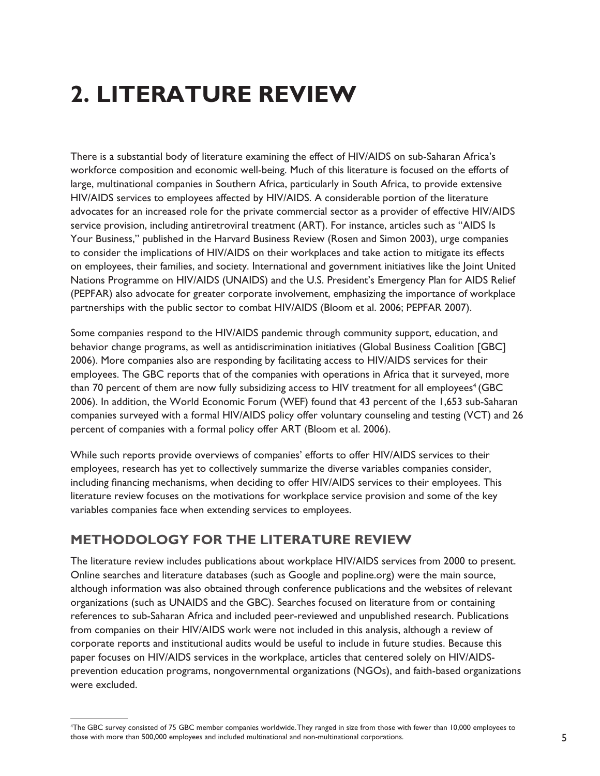# **2. Literature Review**

There is a substantial body of literature examining the effect of HIV/AIDS on sub-Saharan Africa's workforce composition and economic well-being. Much of this literature is focused on the efforts of large, multinational companies in Southern Africa, particularly in South Africa, to provide extensive HIV/AIDS services to employees affected by HIV/AIDS. A considerable portion of the literature advocates for an increased role for the private commercial sector as a provider of effective HIV/AIDS service provision, including antiretroviral treatment (ART). For instance, articles such as "AIDS Is Your Business," published in the Harvard Business Review (Rosen and Simon 2003), urge companies to consider the implications of HIV/AIDS on their workplaces and take action to mitigate its effects on employees, their families, and society. International and government initiatives like the Joint United Nations Programme on HIV/AIDS (UNAIDS) and the U.S. President's Emergency Plan for AIDS Relief (PEPFAR) also advocate for greater corporate involvement, emphasizing the importance of workplace partnerships with the public sector to combat HIV/AIDS (Bloom et al. 2006; PEPFAR 2007).

Some companies respond to the HIV/AIDS pandemic through community support, education, and behavior change programs, as well as antidiscrimination initiatives (Global Business Coalition [GBC] 2006). More companies also are responding by facilitating access to HIV/AIDS services for their employees. The GBC reports that of the companies with operations in Africa that it surveyed, more than 70 percent of them are now fully subsidizing access to HIV treatment for all employees<sup>4</sup> (GBC 2006). In addition, the World Economic Forum (WEF) found that 43 percent of the 1,653 sub-Saharan companies surveyed with a formal HIV/AIDS policy offer voluntary counseling and testing (VCT) and 26 percent of companies with a formal policy offer ART (Bloom et al. 2006).

While such reports provide overviews of companies' efforts to offer HIV/AIDS services to their employees, research has yet to collectively summarize the diverse variables companies consider, including financing mechanisms, when deciding to offer HIV/AIDS services to their employees. This literature review focuses on the motivations for workplace service provision and some of the key variables companies face when extending services to employees.

# **Methodology for the Literature Review**

The literature review includes publications about workplace HIV/AIDS services from 2000 to present. Online searches and literature databases (such as Google and popline.org) were the main source, although information was also obtained through conference publications and the websites of relevant organizations (such as UNAIDS and the GBC). Searches focused on literature from or containing references to sub-Saharan Africa and included peer-reviewed and unpublished research. Publications from companies on their HIV/AIDS work were not included in this analysis, although a review of corporate reports and institutional audits would be useful to include in future studies. Because this paper focuses on HIV/AIDS services in the workplace, articles that centered solely on HIV/AIDSprevention education programs, nongovernmental organizations (NGOs), and faith-based organizations were excluded.

<sup>4</sup> The GBC survey consisted of 75 GBC member companies worldwide. They ranged in size from those with fewer than 10,000 employees to those with more than 500,000 employees and included multinational and non-multinational corporations.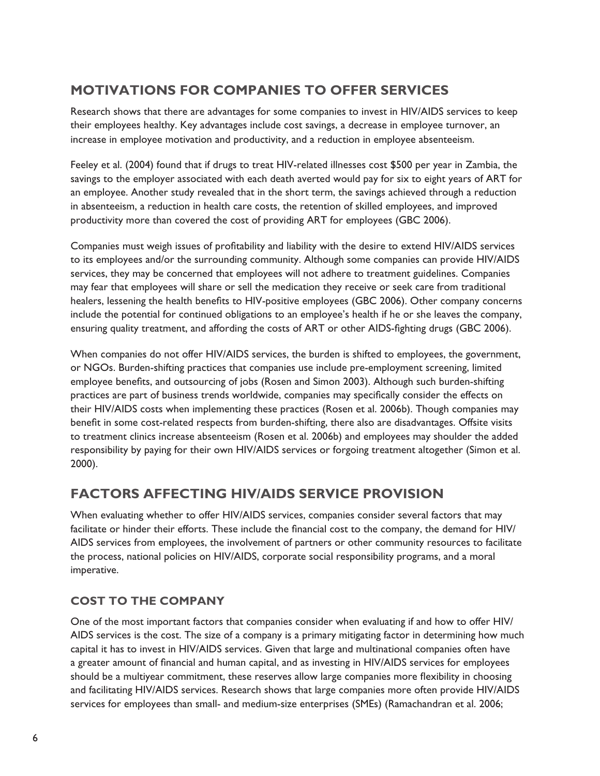# **Motivations for Companies to Offer Services**

Research shows that there are advantages for some companies to invest in HIV/AIDS services to keep their employees healthy. Key advantages include cost savings, a decrease in employee turnover, an increase in employee motivation and productivity, and a reduction in employee absenteeism.

Feeley et al. (2004) found that if drugs to treat HIV-related illnesses cost \$500 per year in Zambia, the savings to the employer associated with each death averted would pay for six to eight years of ART for an employee. Another study revealed that in the short term, the savings achieved through a reduction in absenteeism, a reduction in health care costs, the retention of skilled employees, and improved productivity more than covered the cost of providing ART for employees (GBC 2006).

Companies must weigh issues of profitability and liability with the desire to extend HIV/AIDS services to its employees and/or the surrounding community. Although some companies can provide HIV/AIDS services, they may be concerned that employees will not adhere to treatment guidelines. Companies may fear that employees will share or sell the medication they receive or seek care from traditional healers, lessening the health benefits to HIV-positive employees (GBC 2006). Other company concerns include the potential for continued obligations to an employee's health if he or she leaves the company, ensuring quality treatment, and affording the costs of ART or other AIDS-fighting drugs (GBC 2006).

When companies do not offer HIV/AIDS services, the burden is shifted to employees, the government, or NGOs. Burden-shifting practices that companies use include pre-employment screening, limited employee benefits, and outsourcing of jobs (Rosen and Simon 2003). Although such burden-shifting practices are part of business trends worldwide, companies may specifically consider the effects on their HIV/AIDS costs when implementing these practices (Rosen et al. 2006b). Though companies may benefit in some cost-related respects from burden-shifting, there also are disadvantages. Offsite visits to treatment clinics increase absenteeism (Rosen et al. 2006b) and employees may shoulder the added responsibility by paying for their own HIV/AIDS services or forgoing treatment altogether (Simon et al. 2000).

# **Factors Affecting HIV/AIDS Service Provision**

When evaluating whether to offer HIV/AIDS services, companies consider several factors that may facilitate or hinder their efforts. These include the financial cost to the company, the demand for HIV/ AIDS services from employees, the involvement of partners or other community resources to facilitate the process, national policies on HIV/AIDS, corporate social responsibility programs, and a moral imperative.

## **Cost to the Company**

One of the most important factors that companies consider when evaluating if and how to offer HIV/ AIDS services is the cost. The size of a company is a primary mitigating factor in determining how much capital it has to invest in HIV/AIDS services. Given that large and multinational companies often have a greater amount of financial and human capital, and as investing in HIV/AIDS services for employees should be a multiyear commitment, these reserves allow large companies more flexibility in choosing and facilitating HIV/AIDS services. Research shows that large companies more often provide HIV/AIDS services for employees than small- and medium-size enterprises (SMEs) (Ramachandran et al. 2006;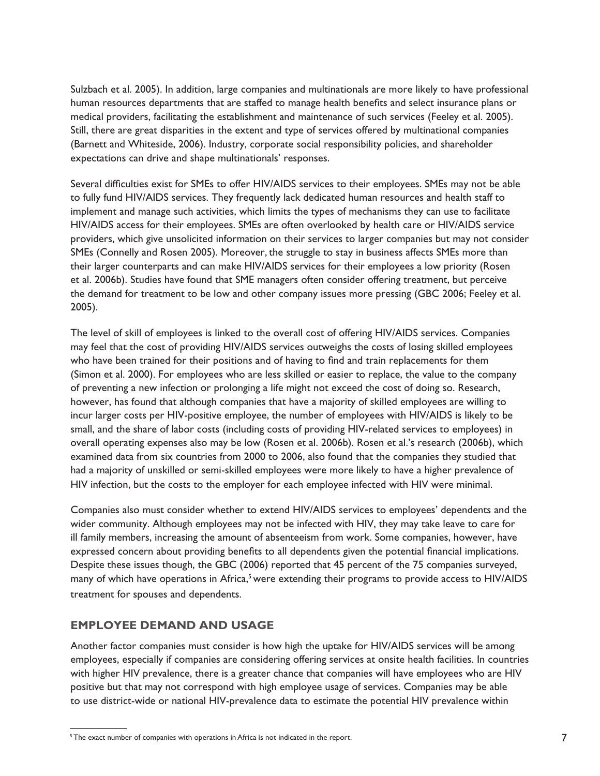Sulzbach et al. 2005). In addition, large companies and multinationals are more likely to have professional human resources departments that are staffed to manage health benefits and select insurance plans or medical providers, facilitating the establishment and maintenance of such services (Feeley et al. 2005). Still, there are great disparities in the extent and type of services offered by multinational companies (Barnett and Whiteside, 2006). Industry, corporate social responsibility policies, and shareholder expectations can drive and shape multinationals' responses.

Several difficulties exist for SMEs to offer HIV/AIDS services to their employees. SMEs may not be able to fully fund HIV/AIDS services. They frequently lack dedicated human resources and health staff to implement and manage such activities, which limits the types of mechanisms they can use to facilitate HIV/AIDS access for their employees. SMEs are often overlooked by health care or HIV/AIDS service providers, which give unsolicited information on their services to larger companies but may not consider SMEs (Connelly and Rosen 2005). Moreover, the struggle to stay in business affects SMEs more than their larger counterparts and can make HIV/AIDS services for their employees a low priority (Rosen et al. 2006b). Studies have found that SME managers often consider offering treatment, but perceive the demand for treatment to be low and other company issues more pressing (GBC 2006; Feeley et al. 2005).

The level of skill of employees is linked to the overall cost of offering HIV/AIDS services. Companies may feel that the cost of providing HIV/AIDS services outweighs the costs of losing skilled employees who have been trained for their positions and of having to find and train replacements for them (Simon et al. 2000). For employees who are less skilled or easier to replace, the value to the company of preventing a new infection or prolonging a life might not exceed the cost of doing so. Research, however, has found that although companies that have a majority of skilled employees are willing to incur larger costs per HIV-positive employee, the number of employees with HIV/AIDS is likely to be small, and the share of labor costs (including costs of providing HIV-related services to employees) in overall operating expenses also may be low (Rosen et al. 2006b). Rosen et al.'s research (2006b), which examined data from six countries from 2000 to 2006, also found that the companies they studied that had a majority of unskilled or semi-skilled employees were more likely to have a higher prevalence of HIV infection, but the costs to the employer for each employee infected with HIV were minimal.

Companies also must consider whether to extend HIV/AIDS services to employees' dependents and the wider community. Although employees may not be infected with HIV, they may take leave to care for ill family members, increasing the amount of absenteeism from work. Some companies, however, have expressed concern about providing benefits to all dependents given the potential financial implications. Despite these issues though, the GBC (2006) reported that 45 percent of the 75 companies surveyed, many of which have operations in Africa,<sup>5</sup> were extending their programs to provide access to HIV/AIDS treatment for spouses and dependents.

## **Employee Demand and Usage**

Another factor companies must consider is how high the uptake for HIV/AIDS services will be among employees, especially if companies are considering offering services at onsite health facilities. In countries with higher HIV prevalence, there is a greater chance that companies will have employees who are HIV positive but that may not correspond with high employee usage of services. Companies may be able to use district-wide or national HIV-prevalence data to estimate the potential HIV prevalence within

<sup>&</sup>lt;sup>5</sup>The exact number of companies with operations in Africa is not indicated in the report.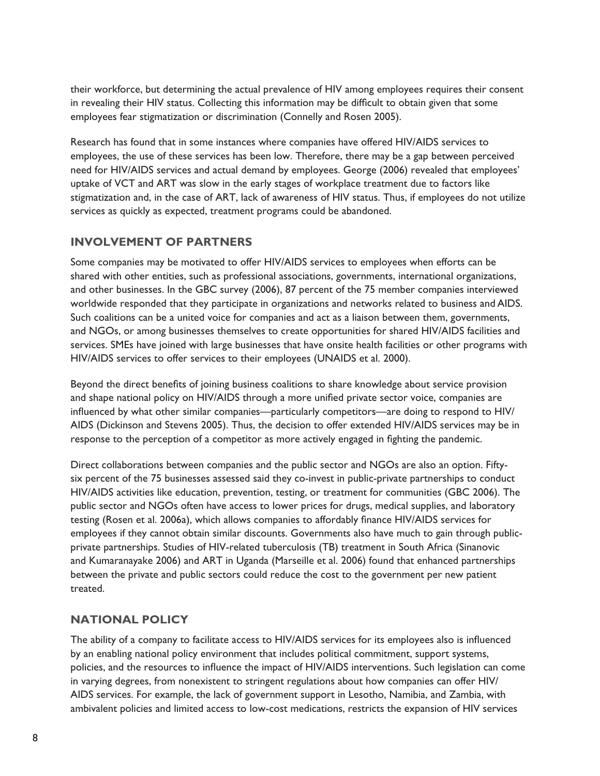their workforce, but determining the actual prevalence of HIV among employees requires their consent in revealing their HIV status. Collecting this information may be difficult to obtain given that some employees fear stigmatization or discrimination (Connelly and Rosen 2005).

Research has found that in some instances where companies have offered HIV/AIDS services to employees, the use of these services has been low. Therefore, there may be a gap between perceived need for HIV/AIDS services and actual demand by employees. George (2006) revealed that employees' uptake of VCT and ART was slow in the early stages of workplace treatment due to factors like stigmatization and, in the case of ART, lack of awareness of HIV status. Thus, if employees do not utilize services as quickly as expected, treatment programs could be abandoned.

### **Involvement of Partners**

Some companies may be motivated to offer HIV/AIDS services to employees when efforts can be shared with other entities, such as professional associations, governments, international organizations, and other businesses. In the GBC survey (2006), 87 percent of the 75 member companies interviewed worldwide responded that they participate in organizations and networks related to business and AIDS. Such coalitions can be a united voice for companies and act as a liaison between them, governments, and NGOs, or among businesses themselves to create opportunities for shared HIV/AIDS facilities and services. SMEs have joined with large businesses that have onsite health facilities or other programs with HIV/AIDS services to offer services to their employees (UNAIDS et al. 2000).

Beyond the direct benefits of joining business coalitions to share knowledge about service provision and shape national policy on HIV/AIDS through a more unified private sector voice, companies are influenced by what other similar companies—particularly competitors—are doing to respond to HIV/ AIDS (Dickinson and Stevens 2005). Thus, the decision to offer extended HIV/AIDS services may be in response to the perception of a competitor as more actively engaged in fighting the pandemic.

Direct collaborations between companies and the public sector and NGOs are also an option. Fiftysix percent of the 75 businesses assessed said they co-invest in public-private partnerships to conduct HIV/AIDS activities like education, prevention, testing, or treatment for communities (GBC 2006). The public sector and NGOs often have access to lower prices for drugs, medical supplies, and laboratory testing (Rosen et al. 2006a), which allows companies to affordably finance HIV/AIDS services for employees if they cannot obtain similar discounts. Governments also have much to gain through publicprivate partnerships. Studies of HIV-related tuberculosis (TB) treatment in South Africa (Sinanovic and Kumaranayake 2006) and ART in Uganda (Marseille et al. 2006) found that enhanced partnerships between the private and public sectors could reduce the cost to the government per new patient treated.

## **National Policy**

The ability of a company to facilitate access to HIV/AIDS services for its employees also is influenced by an enabling national policy environment that includes political commitment, support systems, policies, and the resources to influence the impact of HIV/AIDS interventions. Such legislation can come in varying degrees, from nonexistent to stringent regulations about how companies can offer HIV/ AIDS services. For example, the lack of government support in Lesotho, Namibia, and Zambia, with ambivalent policies and limited access to low-cost medications, restricts the expansion of HIV services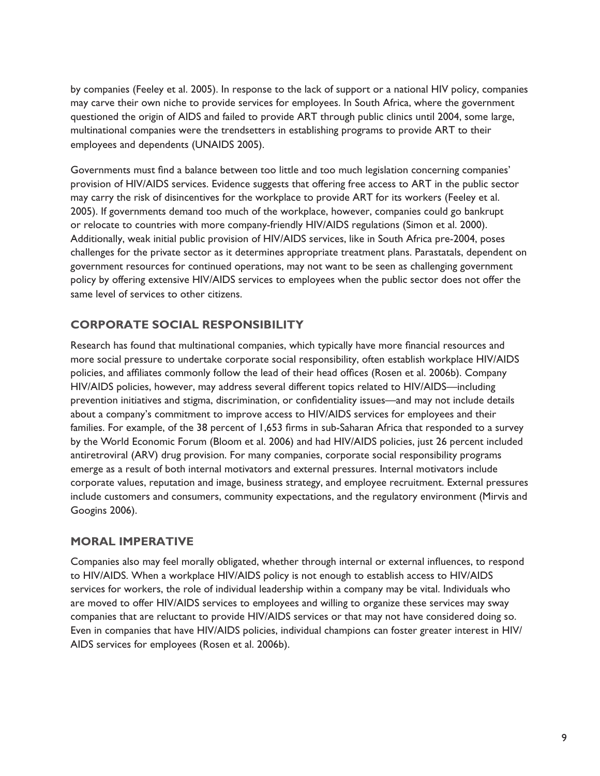by companies (Feeley et al. 2005). In response to the lack of support or a national HIV policy, companies may carve their own niche to provide services for employees. In South Africa, where the government questioned the origin of AIDS and failed to provide ART through public clinics until 2004, some large, multinational companies were the trendsetters in establishing programs to provide ART to their employees and dependents (UNAIDS 2005).

Governments must find a balance between too little and too much legislation concerning companies' provision of HIV/AIDS services. Evidence suggests that offering free access to ART in the public sector may carry the risk of disincentives for the workplace to provide ART for its workers (Feeley et al. 2005). If governments demand too much of the workplace, however, companies could go bankrupt or relocate to countries with more company-friendly HIV/AIDS regulations (Simon et al. 2000). Additionally, weak initial public provision of HIV/AIDS services, like in South Africa pre-2004, poses challenges for the private sector as it determines appropriate treatment plans. Parastatals, dependent on government resources for continued operations, may not want to be seen as challenging government policy by offering extensive HIV/AIDS services to employees when the public sector does not offer the same level of services to other citizens.

## **Corporate Social Responsibility**

Research has found that multinational companies, which typically have more financial resources and more social pressure to undertake corporate social responsibility, often establish workplace HIV/AIDS policies, and affiliates commonly follow the lead of their head offices (Rosen et al. 2006b). Company HIV/AIDS policies, however, may address several different topics related to HIV/AIDS—including prevention initiatives and stigma, discrimination, or confidentiality issues—and may not include details about a company's commitment to improve access to HIV/AIDS services for employees and their families. For example, of the 38 percent of 1,653 firms in sub-Saharan Africa that responded to a survey by the World Economic Forum (Bloom et al. 2006) and had HIV/AIDS policies, just 26 percent included antiretroviral (ARV) drug provision. For many companies, corporate social responsibility programs emerge as a result of both internal motivators and external pressures. Internal motivators include corporate values, reputation and image, business strategy, and employee recruitment. External pressures include customers and consumers, community expectations, and the regulatory environment (Mirvis and Googins 2006).

## **Moral Imperative**

Companies also may feel morally obligated, whether through internal or external influences, to respond to HIV/AIDS. When a workplace HIV/AIDS policy is not enough to establish access to HIV/AIDS services for workers, the role of individual leadership within a company may be vital. Individuals who are moved to offer HIV/AIDS services to employees and willing to organize these services may sway companies that are reluctant to provide HIV/AIDS services or that may not have considered doing so. Even in companies that have HIV/AIDS policies, individual champions can foster greater interest in HIV/ AIDS services for employees (Rosen et al. 2006b).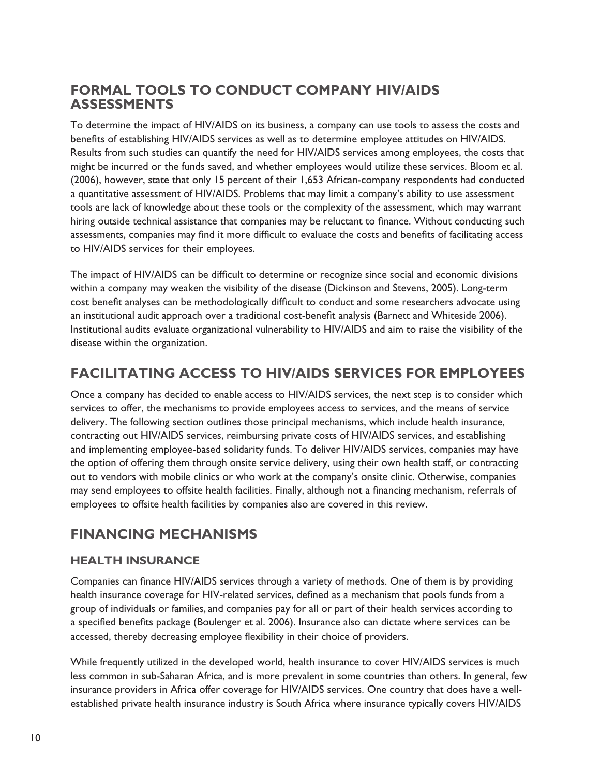# **Formal Tools to Conduct Company HIV/AIDS Assessments**

To determine the impact of HIV/AIDS on its business, a company can use tools to assess the costs and benefits of establishing HIV/AIDS services as well as to determine employee attitudes on HIV/AIDS. Results from such studies can quantify the need for HIV/AIDS services among employees, the costs that might be incurred or the funds saved, and whether employees would utilize these services. Bloom et al. (2006), however, state that only 15 percent of their 1,653 African-company respondents had conducted a quantitative assessment of HIV/AIDS. Problems that may limit a company's ability to use assessment tools are lack of knowledge about these tools or the complexity of the assessment, which may warrant hiring outside technical assistance that companies may be reluctant to finance. Without conducting such assessments, companies may find it more difficult to evaluate the costs and benefits of facilitating access to HIV/AIDS services for their employees.

The impact of HIV/AIDS can be difficult to determine or recognize since social and economic divisions within a company may weaken the visibility of the disease (Dickinson and Stevens, 2005). Long-term cost benefit analyses can be methodologically difficult to conduct and some researchers advocate using an institutional audit approach over a traditional cost-benefit analysis (Barnett and Whiteside 2006). Institutional audits evaluate organizational vulnerability to HIV/AIDS and aim to raise the visibility of the disease within the organization.

# **Facilitating Access to HIV/AIDS Services for Employees**

Once a company has decided to enable access to HIV/AIDS services, the next step is to consider which services to offer, the mechanisms to provide employees access to services, and the means of service delivery. The following section outlines those principal mechanisms, which include health insurance, contracting out HIV/AIDS services, reimbursing private costs of HIV/AIDS services, and establishing and implementing employee-based solidarity funds. To deliver HIV/AIDS services, companies may have the option of offering them through onsite service delivery, using their own health staff, or contracting out to vendors with mobile clinics or who work at the company's onsite clinic. Otherwise, companies may send employees to offsite health facilities. Finally, although not a financing mechanism, referrals of employees to offsite health facilities by companies also are covered in this review.

## **Financing Mechanisms**

## **Health Insurance**

Companies can finance HIV/AIDS services through a variety of methods. One of them is by providing health insurance coverage for HIV-related services, defined as a mechanism that pools funds from a group of individuals or families, and companies pay for all or part of their health services according to a specified benefits package (Boulenger et al. 2006). Insurance also can dictate where services can be accessed, thereby decreasing employee flexibility in their choice of providers.

While frequently utilized in the developed world, health insurance to cover HIV/AIDS services is much less common in sub-Saharan Africa, and is more prevalent in some countries than others. In general, few insurance providers in Africa offer coverage for HIV/AIDS services. One country that does have a wellestablished private health insurance industry is South Africa where insurance typically covers HIV/AIDS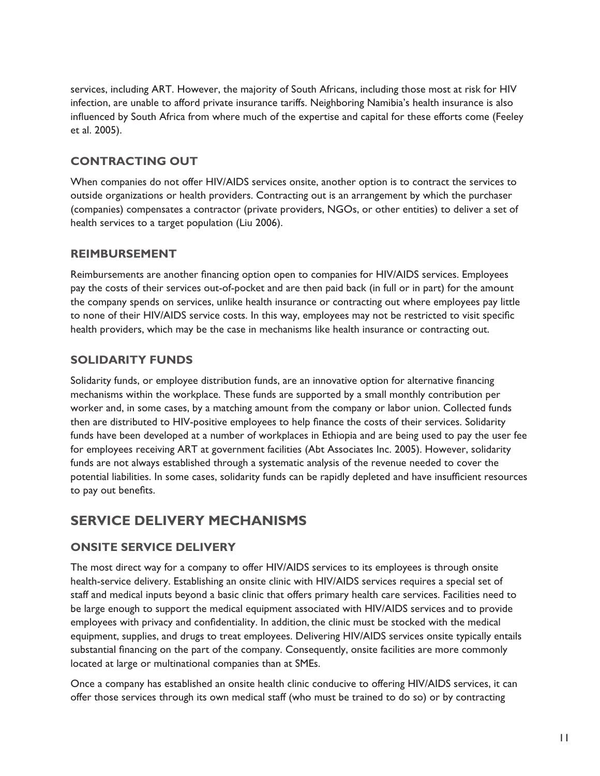services, including ART. However, the majority of South Africans, including those most at risk for HIV infection, are unable to afford private insurance tariffs. Neighboring Namibia's health insurance is also influenced by South Africa from where much of the expertise and capital for these efforts come (Feeley et al. 2005).

## **Contracting Out**

When companies do not offer HIV/AIDS services onsite, another option is to contract the services to outside organizations or health providers. Contracting out is an arrangement by which the purchaser (companies) compensates a contractor (private providers, NGOs, or other entities) to deliver a set of health services to a target population (Liu 2006).

### **Reimbursement**

Reimbursements are another financing option open to companies for HIV/AIDS services. Employees pay the costs of their services out-of-pocket and are then paid back (in full or in part) for the amount the company spends on services, unlike health insurance or contracting out where employees pay little to none of their HIV/AIDS service costs. In this way, employees may not be restricted to visit specific health providers, which may be the case in mechanisms like health insurance or contracting out.

## **Solidarity Funds**

Solidarity funds, or employee distribution funds, are an innovative option for alternative financing mechanisms within the workplace. These funds are supported by a small monthly contribution per worker and, in some cases, by a matching amount from the company or labor union. Collected funds then are distributed to HIV-positive employees to help finance the costs of their services. Solidarity funds have been developed at a number of workplaces in Ethiopia and are being used to pay the user fee for employees receiving ART at government facilities (Abt Associates Inc. 2005). However, solidarity funds are not always established through a systematic analysis of the revenue needed to cover the potential liabilities. In some cases, solidarity funds can be rapidly depleted and have insufficient resources to pay out benefits.

# **Service Delivery Mechanisms**

## **Onsite Service Delivery**

The most direct way for a company to offer HIV/AIDS services to its employees is through onsite health-service delivery. Establishing an onsite clinic with HIV/AIDS services requires a special set of staff and medical inputs beyond a basic clinic that offers primary health care services. Facilities need to be large enough to support the medical equipment associated with HIV/AIDS services and to provide employees with privacy and confidentiality. In addition, the clinic must be stocked with the medical equipment, supplies, and drugs to treat employees. Delivering HIV/AIDS services onsite typically entails substantial financing on the part of the company. Consequently, onsite facilities are more commonly located at large or multinational companies than at SMEs.

Once a company has established an onsite health clinic conducive to offering HIV/AIDS services, it can offer those services through its own medical staff (who must be trained to do so) or by contracting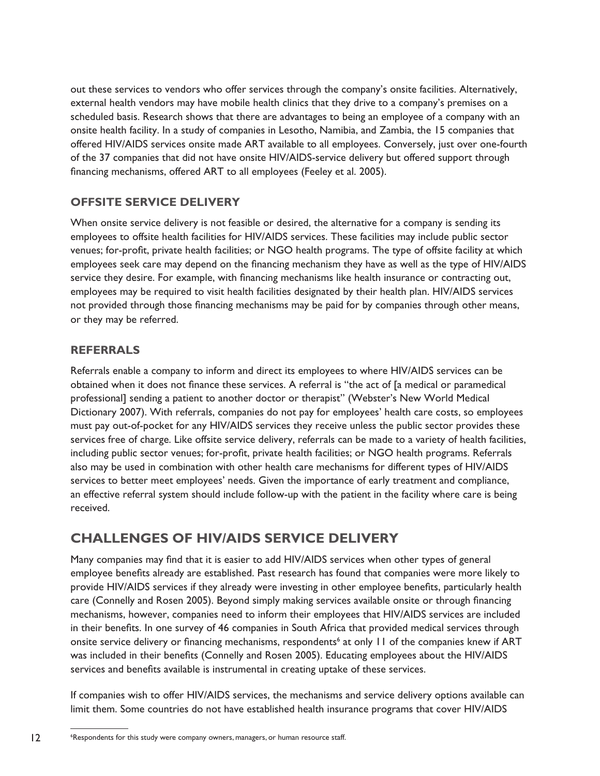out these services to vendors who offer services through the company's onsite facilities. Alternatively, external health vendors may have mobile health clinics that they drive to a company's premises on a scheduled basis. Research shows that there are advantages to being an employee of a company with an onsite health facility. In a study of companies in Lesotho, Namibia, and Zambia, the 15 companies that offered HIV/AIDS services onsite made ART available to all employees. Conversely, just over one-fourth of the 37 companies that did not have onsite HIV/AIDS-service delivery but offered support through financing mechanisms, offered ART to all employees (Feeley et al. 2005).

## **Offsite Service Delivery**

When onsite service delivery is not feasible or desired, the alternative for a company is sending its employees to offsite health facilities for HIV/AIDS services. These facilities may include public sector venues; for-profit, private health facilities; or NGO health programs. The type of offsite facility at which employees seek care may depend on the financing mechanism they have as well as the type of HIV/AIDS service they desire. For example, with financing mechanisms like health insurance or contracting out, employees may be required to visit health facilities designated by their health plan. HIV/AIDS services not provided through those financing mechanisms may be paid for by companies through other means, or they may be referred.

## **Referrals**

Referrals enable a company to inform and direct its employees to where HIV/AIDS services can be obtained when it does not finance these services. A referral is "the act of [a medical or paramedical professional] sending a patient to another doctor or therapist" (Webster's New World Medical Dictionary 2007). With referrals, companies do not pay for employees' health care costs, so employees must pay out-of-pocket for any HIV/AIDS services they receive unless the public sector provides these services free of charge. Like offsite service delivery, referrals can be made to a variety of health facilities, including public sector venues; for-profit, private health facilities; or NGO health programs. Referrals also may be used in combination with other health care mechanisms for different types of HIV/AIDS services to better meet employees' needs. Given the importance of early treatment and compliance, an effective referral system should include follow-up with the patient in the facility where care is being received.

# **Challenges of HIV/AIDS Service Delivery**

Many companies may find that it is easier to add HIV/AIDS services when other types of general employee benefits already are established. Past research has found that companies were more likely to provide HIV/AIDS services if they already were investing in other employee benefits, particularly health care (Connelly and Rosen 2005). Beyond simply making services available onsite or through financing mechanisms, however, companies need to inform their employees that HIV/AIDS services are included in their benefits. In one survey of 46 companies in South Africa that provided medical services through onsite service delivery or financing mechanisms, respondents<sup>6</sup> at only 11 of the companies knew if ART was included in their benefits (Connelly and Rosen 2005). Educating employees about the HIV/AIDS services and benefits available is instrumental in creating uptake of these services.

If companies wish to offer HIV/AIDS services, the mechanisms and service delivery options available can limit them. Some countries do not have established health insurance programs that cover HIV/AIDS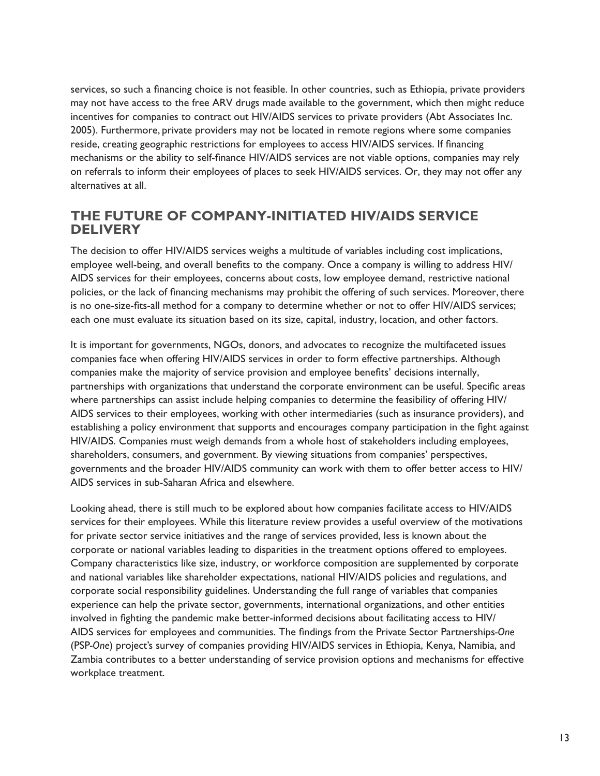services, so such a financing choice is not feasible. In other countries, such as Ethiopia, private providers may not have access to the free ARV drugs made available to the government, which then might reduce incentives for companies to contract out HIV/AIDS services to private providers (Abt Associates Inc. 2005). Furthermore, private providers may not be located in remote regions where some companies reside, creating geographic restrictions for employees to access HIV/AIDS services. If financing mechanisms or the ability to self-finance HIV/AIDS services are not viable options, companies may rely on referrals to inform their employees of places to seek HIV/AIDS services. Or, they may not offer any alternatives at all.

## **The Future of Company-initiated HIV/AIDS Service Delivery**

The decision to offer HIV/AIDS services weighs a multitude of variables including cost implications, employee well-being, and overall benefits to the company. Once a company is willing to address HIV/ AIDS services for their employees, concerns about costs, low employee demand, restrictive national policies, or the lack of financing mechanisms may prohibit the offering of such services. Moreover, there is no one-size-fits-all method for a company to determine whether or not to offer HIV/AIDS services; each one must evaluate its situation based on its size, capital, industry, location, and other factors.

It is important for governments, NGOs, donors, and advocates to recognize the multifaceted issues companies face when offering HIV/AIDS services in order to form effective partnerships. Although companies make the majority of service provision and employee benefits' decisions internally, partnerships with organizations that understand the corporate environment can be useful. Specific areas where partnerships can assist include helping companies to determine the feasibility of offering HIV/ AIDS services to their employees, working with other intermediaries (such as insurance providers), and establishing a policy environment that supports and encourages company participation in the fight against HIV/AIDS. Companies must weigh demands from a whole host of stakeholders including employees, shareholders, consumers, and government. By viewing situations from companies' perspectives, governments and the broader HIV/AIDS community can work with them to offer better access to HIV/ AIDS services in sub-Saharan Africa and elsewhere.

Looking ahead, there is still much to be explored about how companies facilitate access to HIV/AIDS services for their employees. While this literature review provides a useful overview of the motivations for private sector service initiatives and the range of services provided, less is known about the corporate or national variables leading to disparities in the treatment options offered to employees. Company characteristics like size, industry, or workforce composition are supplemented by corporate and national variables like shareholder expectations, national HIV/AIDS policies and regulations, and corporate social responsibility guidelines. Understanding the full range of variables that companies experience can help the private sector, governments, international organizations, and other entities involved in fighting the pandemic make better-informed decisions about facilitating access to HIV/ AIDS services for employees and communities. The findings from the Private Sector Partnerships*-One* (PSP*-One*) project's survey of companies providing HIV/AIDS services in Ethiopia, Kenya, Namibia, and Zambia contributes to a better understanding of service provision options and mechanisms for effective workplace treatment.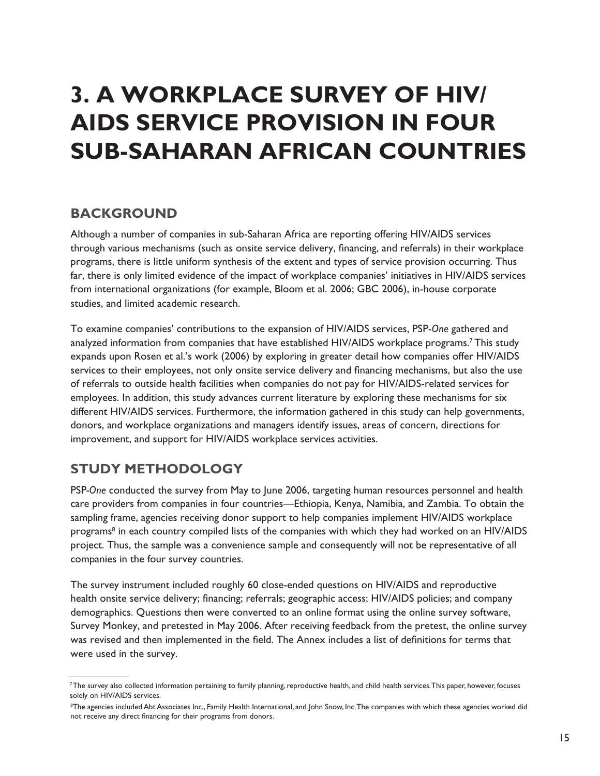# **3. A Workplace Survey of HIV/ AIDS Service Provision in Four Sub-Saharan African Countries**

## **Background**

Although a number of companies in sub-Saharan Africa are reporting offering HIV/AIDS services through various mechanisms (such as onsite service delivery, financing, and referrals) in their workplace programs, there is little uniform synthesis of the extent and types of service provision occurring. Thus far, there is only limited evidence of the impact of workplace companies' initiatives in HIV/AIDS services from international organizations (for example, Bloom et al. 2006; GBC 2006), in-house corporate studies, and limited academic research.

To examine companies' contributions to the expansion of HIV/AIDS services, PSP-*One* gathered and analyzed information from companies that have established HIV/AIDS workplace programs.<sup>7</sup> This study expands upon Rosen et al.'s work (2006) by exploring in greater detail how companies offer HIV/AIDS services to their employees, not only onsite service delivery and financing mechanisms, but also the use of referrals to outside health facilities when companies do not pay for HIV/AIDS-related services for employees. In addition, this study advances current literature by exploring these mechanisms for six different HIV/AIDS services. Furthermore, the information gathered in this study can help governments, donors, and workplace organizations and managers identify issues, areas of concern, directions for improvement, and support for HIV/AIDS workplace services activities.

# **Study Methodology**

PSP*-One* conducted the survey from May to June 2006, targeting human resources personnel and health care providers from companies in four countries—Ethiopia, Kenya, Namibia, and Zambia. To obtain the sampling frame, agencies receiving donor support to help companies implement HIV/AIDS workplace programs<sup>8</sup> in each country compiled lists of the companies with which they had worked on an HIV/AIDS project. Thus, the sample was a convenience sample and consequently will not be representative of all companies in the four survey countries.

The survey instrument included roughly 60 close-ended questions on HIV/AIDS and reproductive health onsite service delivery; financing; referrals; geographic access; HIV/AIDS policies; and company demographics. Questions then were converted to an online format using the online survey software, Survey Monkey, and pretested in May 2006. After receiving feedback from the pretest, the online survey was revised and then implemented in the field. The Annex includes a list of definitions for terms that were used in the survey.

<sup>&</sup>lt;sup>7</sup>The survey also collected information pertaining to family planning, reproductive health, and child health services. This paper, however, focuses solely on HIV/AIDS services.

<sup>8</sup> The agencies included Abt Associates Inc., Family Health International, and John Snow, Inc. The companies with which these agencies worked did not receive any direct financing for their programs from donors.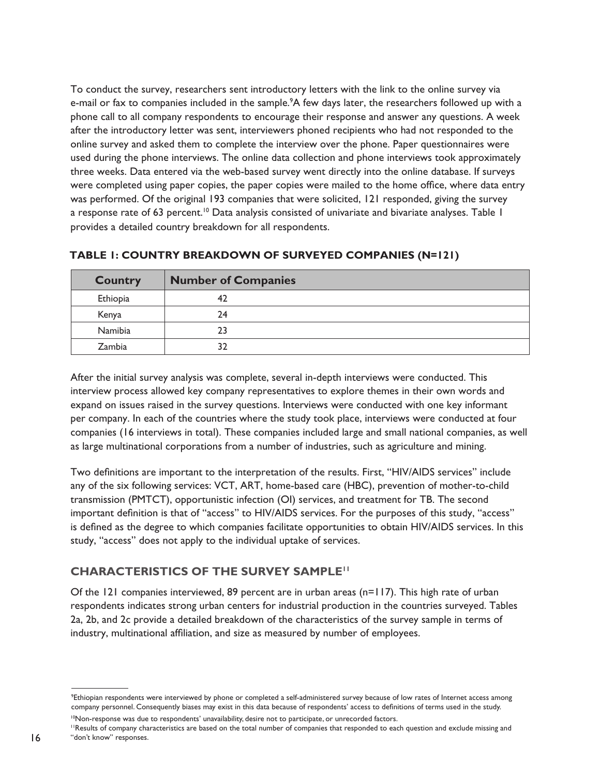To conduct the survey, researchers sent introductory letters with the link to the online survey via e-mail or fax to companies included in the sample.<sup>9</sup>A few days later, the researchers followed up with a phone call to all company respondents to encourage their response and answer any questions. A week after the introductory letter was sent, interviewers phoned recipients who had not responded to the online survey and asked them to complete the interview over the phone. Paper questionnaires were used during the phone interviews. The online data collection and phone interviews took approximately three weeks. Data entered via the web-based survey went directly into the online database. If surveys were completed using paper copies, the paper copies were mailed to the home office, where data entry was performed. Of the original 193 companies that were solicited, 121 responded, giving the survey a response rate of 63 percent.<sup>10</sup> Data analysis consisted of univariate and bivariate analyses. Table 1 provides a detailed country breakdown for all respondents.

| <b>Country</b> | <b>Number of Companies</b> |
|----------------|----------------------------|
| Ethiopia       |                            |
| Kenya          | 24                         |
| Namibia        | 23                         |
| Zambia         | 32                         |

#### **Table 1: Country breakdown of surveyed companies (n=121)**

After the initial survey analysis was complete, several in-depth interviews were conducted. This interview process allowed key company representatives to explore themes in their own words and expand on issues raised in the survey questions. Interviews were conducted with one key informant per company. In each of the countries where the study took place, interviews were conducted at four companies (16 interviews in total). These companies included large and small national companies, as well as large multinational corporations from a number of industries, such as agriculture and mining.

Two definitions are important to the interpretation of the results. First, "HIV/AIDS services" include any of the six following services: VCT, ART, home-based care (HBC), prevention of mother-to-child transmission (PMTCT), opportunistic infection (OI) services, and treatment for TB. The second important definition is that of "access" to HIV/AIDS services. For the purposes of this study, "access" is defined as the degree to which companies facilitate opportunities to obtain HIV/AIDS services. In this study, "access" does not apply to the individual uptake of services.

## **CHARACTERISTICS OF THE SURVEY SAMPLE<sup>11</sup>**

Of the 121 companies interviewed, 89 percent are in urban areas (n=117). This high rate of urban respondents indicates strong urban centers for industrial production in the countries surveyed. Tables 2a, 2b, and 2c provide a detailed breakdown of the characteristics of the survey sample in terms of industry, multinational affiliation, and size as measured by number of employees.

<sup>10</sup>Non-response was due to respondents' unavailability, desire not to participate, or unrecorded factors.

<sup>&</sup>lt;sup>9</sup>Ethiopian respondents were interviewed by phone or completed a self-administered survey because of low rates of Internet access among company personnel. Consequently biases may exist in this data because of respondents' access to definitions of terms used in the study.

<sup>11</sup>Results of company characteristics are based on the total number of companies that responded to each question and exclude missing and "don't know" responses.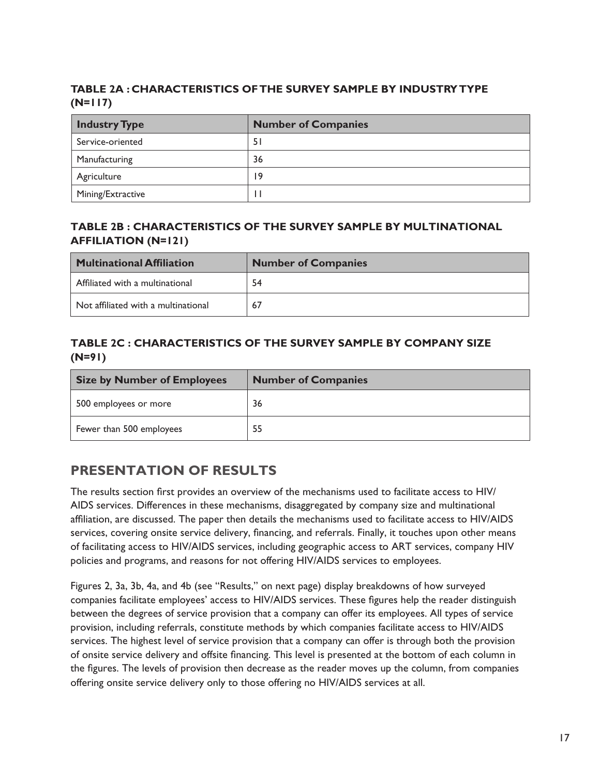## **Table 2a : Characteristics of the survey sample by industry type (n=117)**

| <b>Industry Type</b> | <b>Number of Companies</b> |  |  |
|----------------------|----------------------------|--|--|
| Service-oriented     | 51                         |  |  |
| Manufacturing        | 36                         |  |  |
| Agriculture          | 19                         |  |  |
| Mining/Extractive    |                            |  |  |

### **Table 2b : Characteristics of the survey sample by multinational affiliation (n=121)**

| <b>Multinational Affiliation</b>    | <b>Number of Companies</b> |
|-------------------------------------|----------------------------|
| Affiliated with a multinational     | 54                         |
| Not affiliated with a multinational | 67                         |

## **Table 2c : Characteristics of the survey sample by company size (n=91)**

| <b>Size by Number of Employees</b> | <b>Number of Companies</b> |
|------------------------------------|----------------------------|
| 500 employees or more              | 36                         |
| Fewer than 500 employees           | 55                         |

# **Presentation of Results**

The results section first provides an overview of the mechanisms used to facilitate access to HIV/ AIDS services. Differences in these mechanisms, disaggregated by company size and multinational affiliation, are discussed. The paper then details the mechanisms used to facilitate access to HIV/AIDS services, covering onsite service delivery, financing, and referrals. Finally, it touches upon other means of facilitating access to HIV/AIDS services, including geographic access to ART services, company HIV policies and programs, and reasons for not offering HIV/AIDS services to employees.

Figures 2, 3a, 3b, 4a, and 4b (see "Results," on next page) display breakdowns of how surveyed companies facilitate employees' access to HIV/AIDS services. These figures help the reader distinguish between the degrees of service provision that a company can offer its employees. All types of service provision, including referrals, constitute methods by which companies facilitate access to HIV/AIDS services. The highest level of service provision that a company can offer is through both the provision of onsite service delivery and offsite financing. This level is presented at the bottom of each column in the figures. The levels of provision then decrease as the reader moves up the column, from companies offering onsite service delivery only to those offering no HIV/AIDS services at all.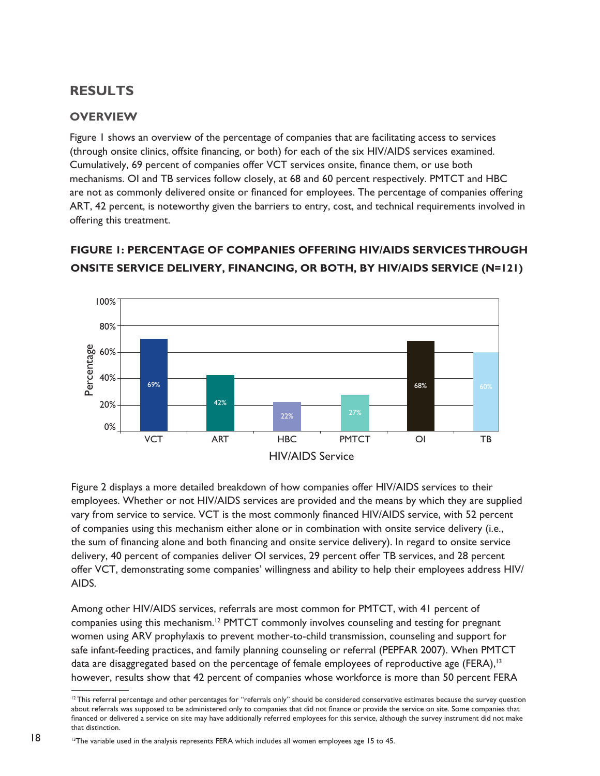# **Results**

## **Overview**

Figure 1 shows an overview of the percentage of companies that are facilitating access to services (through onsite clinics, offsite financing, or both) for each of the six HIV/AIDS services examined. Cumulatively, 69 percent of companies offer VCT services onsite, finance them, or use both mechanisms. OI and TB services follow closely, at 68 and 60 percent respectively. PMTCT and HBC are not as commonly delivered onsite or financed for employees. The percentage of companies offering ART, 42 percent, is noteworthy given the barriers to entry, cost, and technical requirements involved in offering this treatment.



# **Figure 1: Percentage of companies offering HIV/AIDS services through ONSITE SERVICE DELIVERY, FINANCING, OR BOTH, BY HIV/AIDS SERVICE (N=121)**

Figure 2 displays a more detailed breakdown of how companies offer HIV/AIDS services to their employees. Whether or not HIV/AIDS services are provided and the means by which they are supplied vary from service to service. VCT is the most commonly financed HIV/AIDS service, with 52 percent of companies using this mechanism either alone or in combination with onsite service delivery (i.e., the sum of financing alone and both financing and onsite service delivery). In regard to onsite service delivery, 40 percent of companies deliver OI services, 29 percent offer TB services, and 28 percent offer VCT, demonstrating some companies' willingness and ability to help their employees address HIV/ AIDS.

Among other HIV/AIDS services, referrals are most common for PMTCT, with 41 percent of companies using this mechanism.<sup>12</sup> PMTCT commonly involves counseling and testing for pregnant women using ARV prophylaxis to prevent mother-to-child transmission, counseling and support for safe infant-feeding practices, and family planning counseling or referral (PEPFAR 2007). When PMTCT data are disaggregated based on the percentage of female employees of reproductive age (FERA),<sup>13</sup>

<sup>&</sup>lt;sup>12</sup> This referral percentage and other percentages for "referrals only" should be considered conservative estimates because the survey question about referrals was supposed to be administered only to companies that did not finance or provide the service on site. Some companies that financed or delivered a service on site may have additionally referred employees for this service, although the survey instrument did not make that distinction.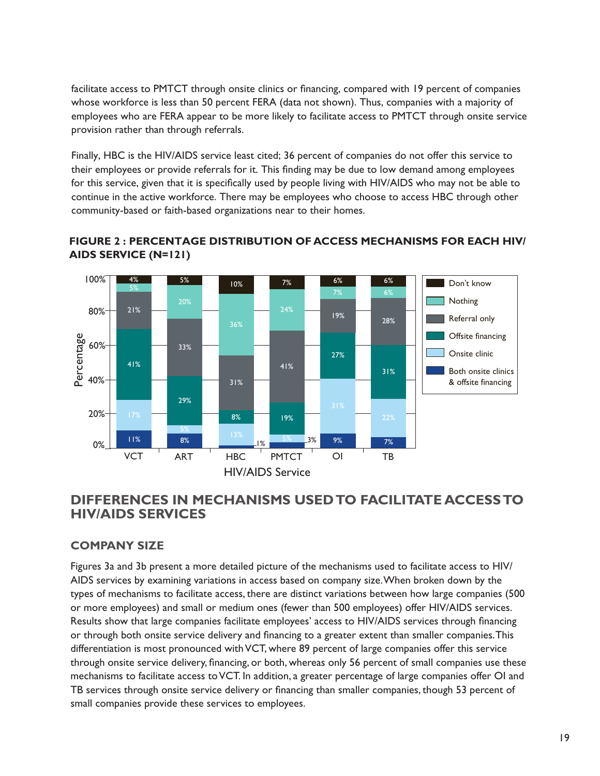facilitate access to PMTCT through onsite clinics or financing, compared with 19 percent of companies whose workforce is less than 50 percent FERA (data not shown). Thus, companies with a majority of employees who are FERA appear to be more likely to facilitate access to PMTCT through onsite service provision rather than through referrals.

Finally, HBC is the HIV/AIDS service least cited; 36 percent of companies do not offer this service to their employees or provide referrals for it. This finding may be due to low demand among employees for this service, given that it is specifically used by people living with HIV/AIDS who may not be able to continue in the active workforce. There may be employees who choose to access HBC through other community-based or faith-based organizations near to their homes.





## **Differences in Mechanisms Used to Facilitate Access to HIV/AIDS Services**

#### **Company Size**

Figures 3a and 3b present a more detailed picture of the mechanisms used to facilitate access to HIV/ AIDS services by examining variations in access based on company size. When broken down by the types of mechanisms to facilitate access, there are distinct variations between how large companies (500 or more employees) and small or medium ones (fewer than 500 employees) offer HIV/AIDS services. Results show that large companies facilitate employees' access to HIV/AIDS services through financing or through both onsite service delivery and financing to a greater extent than smaller companies. This differentiation is most pronounced with VCT, where 89 percent of large companies offer this service through onsite service delivery, financing, or both, whereas only 56 percent of small companies use these mechanisms to facilitate access to VCT. In addition, a greater percentage of large companies offer OI and TB services through onsite service delivery or financing than smaller companies, though 53 percent of small companies provide these services to employees.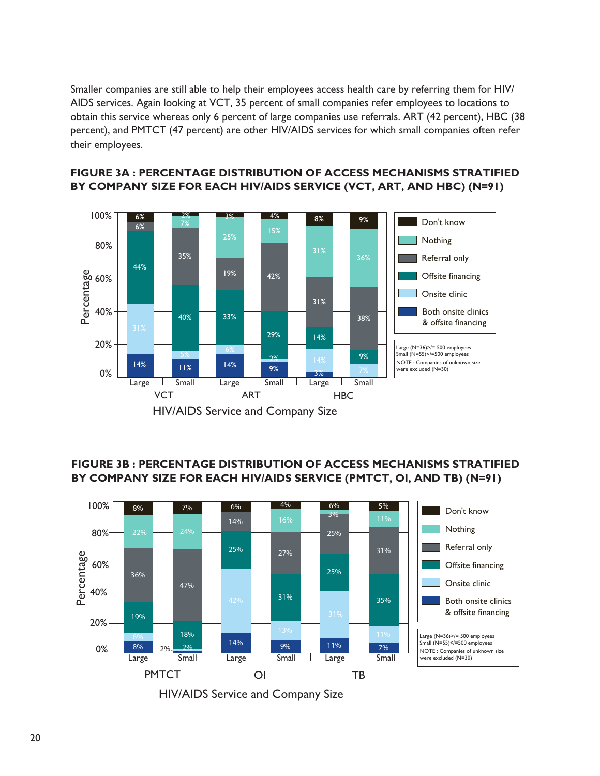$S$ maller companies are still able to help their employees access health care by referring them for  $H$ IV/ $\,$ AIDS services. Again looking at VCT, 35 percent of small companies refer employees to locations to 44% obtain this service whereas only 6 percent of large companies use referrals. ART (42 percent), HBC (38 percent), and PMTCT (47 percent) are other HIV/AIDS services for which small companies often refer their employees. otai<br>:rc<br>eir 36% Referral only companie  $\frac{8}{3}$ 



#### **FIGURE 3A : PERCENTAGE DISTRIBUTION OF ACCESS MECHANISMS STRATIFIED** BY COMPANY SIZE FOR EACH HIV/AIDS SERVICE (VCT, ART, AND HBC) (N=91) COMPANY SIZE FOR EACH HIV/AIDS SERVICE (VCT, ART, AND HBC) ( JTION OF  $\lambda$

## FIGURE 3B : PERCENTAGE DISTRIBUTION OF ACCESS MECHANISMS STRATIFIED BY COMPANY SIZE FOR EACH HIV/AIDS SERVICE (PMTCT, OI, AND TB) (N=91)

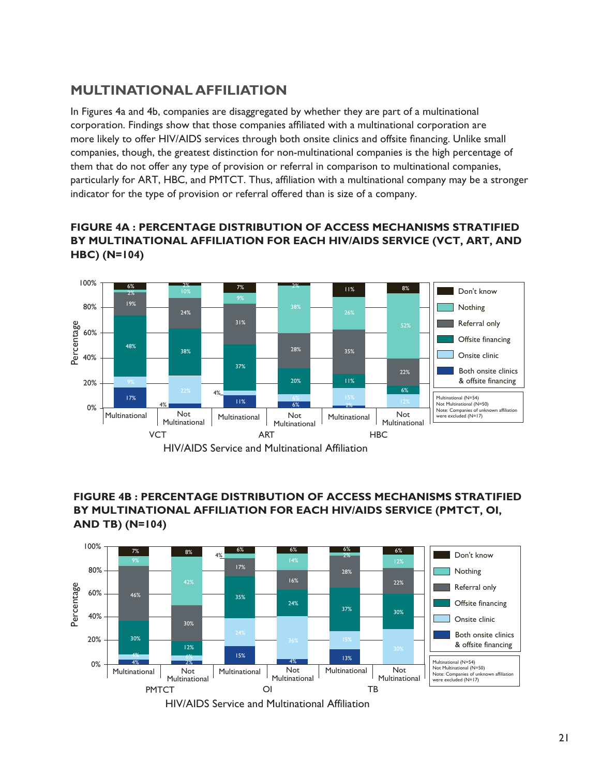# **Multinational Affiliation**

In Figures 4a and 4b, companies are disaggregated by whether they are part of a multinational corporation. Findings show that those companies affiliated with a multinational corporation are more likely to offer HIV/AIDS services through both onsite clinics and offsite financing. Unlike small companies, though, the greatest distinction for non-multinational companies is the high percentage of them that do not offer any type of provision or referral in comparison to multinational companies, particularly for ART, HBC, and PMTCT. Thus, affiliation with a multinational company may be a stronger indicator for the type of provision or referral offered than is size of a company.

### FIGURE 4A : PERCENTAGE DISTRIBUTION OF ACCESS MECHANISMS STRATIFIED BY MULTINATIONAL AFFILIATION FOR EACH HIV/AIDS SERVICE (VCT, ART, AND **HBC)** (N=104)



#### FIGURE 4B : PERCENTAGE DISTRIBUTION OF ACCESS MECHANISMS STRATIFIED BY MULTINATIONAL AFFILIATION FOR EACH HIV/AIDS SERVICE (PMTCT, OI, **and tb) (n=104)**



HIV/AIDS Service and Multinational Affiliation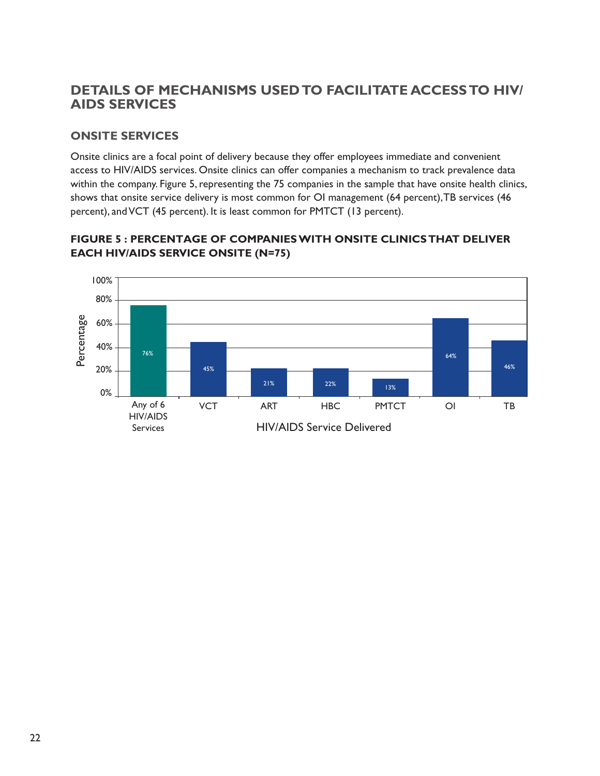# **Details of Mechanisms Used to Facilitate Access to HIV/ AIDS Services**

## **Onsite Services**

Onsite clinics are a focal point of delivery because they offer employees immediate and convenient access to HIV/AIDS services. Onsite clinics can offer companies a mechanism to track prevalence data within the company. Figure 5, representing the 75 companies in the sample that have onsite health clinics, shows that onsite service delivery is most common for OI management (64 percent), TB services (46 percent), and VCT (45 percent). It is least common for PMTCT (13 percent).



### **Figure 5 : Percentage of companies with onsite clinics that deliver Figure 5: Percentage of companies with onsite clinics that deliver each HIV/AIDS service onsite (n=75) each hiv/aids service onsite (n=75)**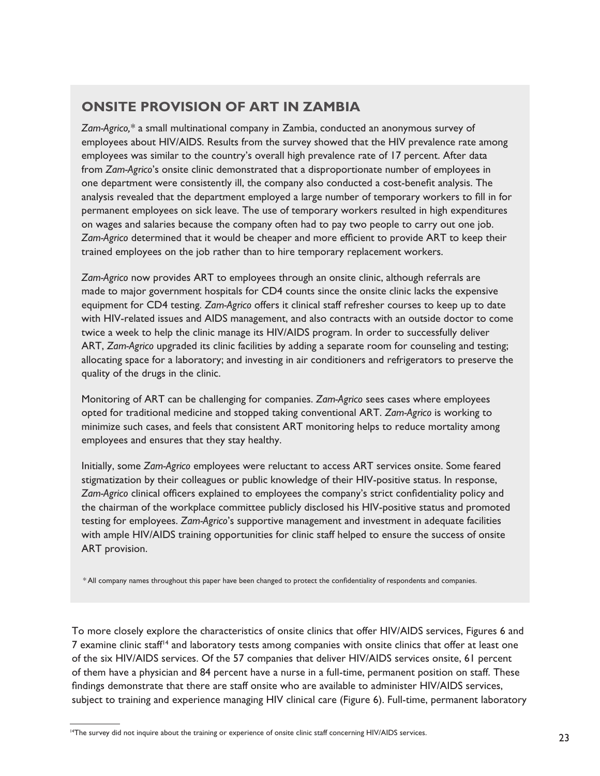# **Onsite Provision of ART in Zambia**

*Zam-Agrico,\** a small multinational company in Zambia, conducted an anonymous survey of employees about HIV/AIDS. Results from the survey showed that the HIV prevalence rate among employees was similar to the country's overall high prevalence rate of 17 percent. After data from *Zam-Agrico*'s onsite clinic demonstrated that a disproportionate number of employees in one department were consistently ill, the company also conducted a cost-benefit analysis. The analysis revealed that the department employed a large number of temporary workers to fill in for permanent employees on sick leave. The use of temporary workers resulted in high expenditures on wages and salaries because the company often had to pay two people to carry out one job. *Zam-Agrico* determined that it would be cheaper and more efficient to provide ART to keep their trained employees on the job rather than to hire temporary replacement workers.

*Zam-Agrico* now provides ART to employees through an onsite clinic, although referrals are made to major government hospitals for CD4 counts since the onsite clinic lacks the expensive equipment for CD4 testing. *Zam-Agrico* offers it clinical staff refresher courses to keep up to date with HIV-related issues and AIDS management, and also contracts with an outside doctor to come twice a week to help the clinic manage its HIV/AIDS program. In order to successfully deliver ART, *Zam-Agrico* upgraded its clinic facilities by adding a separate room for counseling and testing; allocating space for a laboratory; and investing in air conditioners and refrigerators to preserve the quality of the drugs in the clinic.

Monitoring of ART can be challenging for companies. *Zam-Agrico* sees cases where employees opted for traditional medicine and stopped taking conventional ART. *Zam-Agrico* is working to minimize such cases, and feels that consistent ART monitoring helps to reduce mortality among employees and ensures that they stay healthy.

Initially, some *Zam-Agrico* employees were reluctant to access ART services onsite. Some feared stigmatization by their colleagues or public knowledge of their HIV-positive status. In response, *Zam-Agrico* clinical officers explained to employees the company's strict confidentiality policy and the chairman of the workplace committee publicly disclosed his HIV-positive status and promoted testing for employees. *Zam-Agrico*'s supportive management and investment in adequate facilities with ample HIV/AIDS training opportunities for clinic staff helped to ensure the success of onsite ART provision.

\* All company names throughout this paper have been changed to protect the confidentiality of respondents and companies.

To more closely explore the characteristics of onsite clinics that offer HIV/AIDS services, Figures 6 and 7 examine clinic staff<sup>14</sup> and laboratory tests among companies with onsite clinics that offer at least one of the six HIV/AIDS services. Of the 57 companies that deliver HIV/AIDS services onsite, 61 percent of them have a physician and 84 percent have a nurse in a full-time, permanent position on staff. These findings demonstrate that there are staff onsite who are available to administer HIV/AIDS services, subject to training and experience managing HIV clinical care (Figure 6). Full-time, permanent laboratory

<sup>14</sup>The survey did not inquire about the training or experience of onsite clinic staff concerning HIV/AIDS services.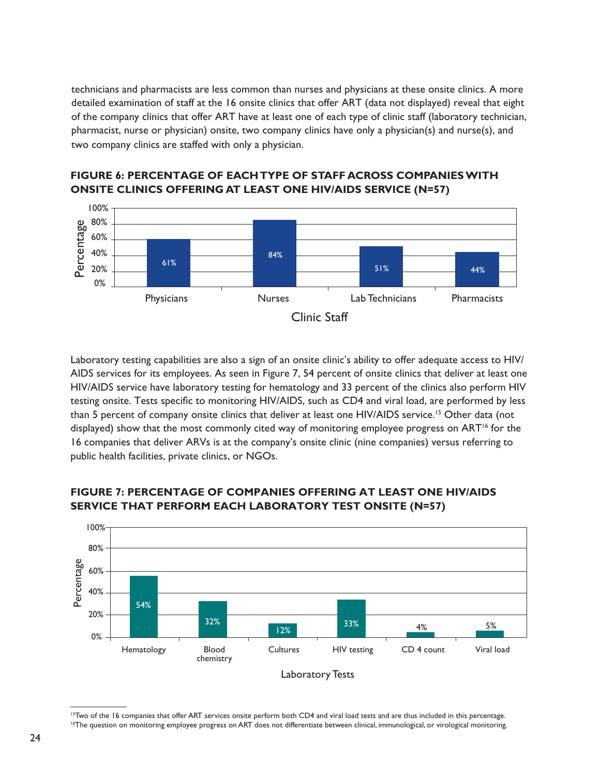technicians and pharmacists are less common than nurses and physicians at these onsite clinics. A more detailed examination of staff at the 16 onsite clinics that offer ART (data not displayed) reveal that eight of the company clinics that offer ART have at least one of each type of clinic staff (laboratory technician, pharmacist, nurse or physician) onsite, two company clinics have only a physician(s) and nurse(s), and two company clinics are staffed with only a physician.



## **FIGURE 6: PERCENTAGE OF EACH TYPE OF STAFF ACROSS COMPANIES WITH onsite clinics offering at least ONE hiv/aids service (n=57)**

Laboratory testing capabilities are also a sign of an onsite clinic's ability to offer adequate access to HIV/ AIDS services for its employees. As seen in Figure 7, 54 percent of onsite clinics that deliver at least one HIV/AIDS service have laboratory testing for hematology and 33 percent of the clinics also perform HIV testing onsite. Tests specific to monitoring HIV/AIDS, such as CD4 and viral load, are performed by less than 5 percent of company onsite clinics that deliver at least one HIV/AIDS service.<sup>15</sup> Other data (not displayed) show that the most commonly cited way of monitoring employee progress on ART<sup>16</sup> for the 16 companies that deliver ARVs is at the company's onsite clinic (nine companies) versus referring to public health facilities, private clinics, or NGOs.



#### **Figure 7: Percentage of companies offering at least one hiv/aids service that perform each laboratory test onsite (n=57)**

<sup>15</sup>Two of the 16 companies that offer ART services onsite perform both CD4 and viral load tests and are thus included in this percentage. <sup>16</sup>The question on monitoring employee progress on ART does not differentiate between clinical, immunological, or virological monitoring.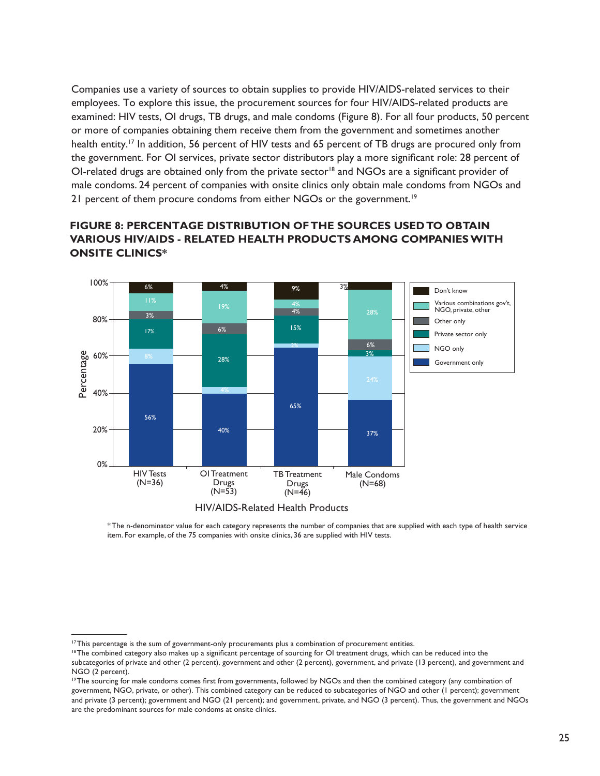Companies use a variety of sources to obtain supplies to provide HIV/AIDS-related services to their employees. To explore this issue, the procurement sources for four HIV/AIDS-related products are examined: HIV tests, OI drugs, TB drugs, and male condoms (Figure 8). For all four products, 50 percent or more of companies obtaining them receive them from the government and sometimes another health entity.<sup>17</sup> In addition, 56 percent of HIV tests and 65 percent of TB drugs are procured only from the government. For OI services, private sector distributors play a more significant role: 28 percent of OI-related drugs are obtained only from the private sector<sup>18</sup> and NGOs are a significant provider of male condoms. 24 percent of companies with onsite clinics only obtain male condoms from NGOs and 21 percent of them procure condoms from either NGOs or the government.<sup>19</sup>

#### **Figure 8: Percentage distribution of the sources used to obtain VARIOUS HIV/AIDS - RELATED HEALTH PRODUCTS AMONG COMPANIES WITH ONSITE CLINICS<sup>\*</sup>**





\* The n-denominator value for each category represents the number of companies that are supplied with each type of health service item. For example, of the 75 companies with onsite clinics, 36 are supplied with HIV tests.

<sup>&</sup>lt;sup>17</sup>This percentage is the sum of government-only procurements plus a combination of procurement entities.

<sup>18</sup> The combined category also makes up a significant percentage of sourcing for OI treatment drugs*,* which can be reduced into the subcategories of private and other (2 percent), government and other (2 percent), government, and private (13 percent), and government and

NGO (2 percent). <sup>19</sup>The sourcing for male condoms comes first from governments, followed by NGOs and then the combined category (any combination of government, NGO, private, or other). This combined category can be reduced to subcategories of NGO and other (1 percent); government and private (3 percent); government and NGO (21 percent); and government, private, and NGO (3 percent). Thus, the government and NGOs are the predominant sources for male condoms at onsite clinics.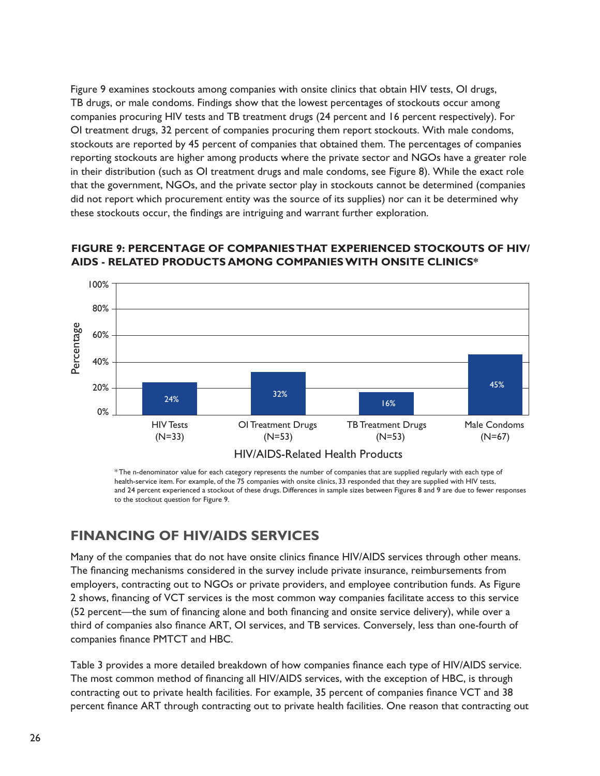Figure 9 examines stockouts among companies with onsite clinics that obtain HIV tests, OI drugs, TB drugs, or male condoms. Findings show that the lowest percentages of stockouts occur among companies procuring HIV tests and TB treatment drugs (24 percent and 16 percent respectively). For OI treatment drugs, 32 percent of companies procuring them report stockouts. With male condoms, stockouts are reported by 45 percent of companies that obtained them. The percentages of companies reporting stockouts are higher among products where the private sector and NGOs have a greater role in their distribution (such as OI treatment drugs and male condoms, see Figure 8). While the exact role that the government, NGOs, and the private sector play in stockouts cannot be determined (companies did not report which procurement entity was the source of its supplies) nor can it be determined why these stockouts occur, the findings are intriguing and warrant further exploration.



## **Figure 9: Percentage of companies that experienced stockouts of hiv/ aids - related products among companies with onsite clinics\***

\* The n-denominator value for each category represents the number of companies that are supplied regularly with each type of health-service item. For example, of the 75 companies with onsite clinics, 33 responded that they are supplied with HIV tests, and 24 percent experienced a stockout of these drugs. Differences in sample sizes between Figures 8 and 9 are due to fewer responses to the stockout question for Figure 9.

# **Financing of HIV/AIDS Services**

Many of the companies that do not have onsite clinics finance HIV/AIDS services through other means. The financing mechanisms considered in the survey include private insurance, reimbursements from employers, contracting out to NGOs or private providers, and employee contribution funds. As Figure 2 shows, financing of VCT services is the most common way companies facilitate access to this service (52 percent—the sum of financing alone and both financing and onsite service delivery), while over a third of companies also finance ART, OI services, and TB services. Conversely, less than one-fourth of companies finance PMTCT and HBC.

Table 3 provides a more detailed breakdown of how companies finance each type of HIV/AIDS service. The most common method of financing all HIV/AIDS services, with the exception of HBC, is through contracting out to private health facilities. For example, 35 percent of companies finance VCT and 38 percent finance ART through contracting out to private health facilities. One reason that contracting out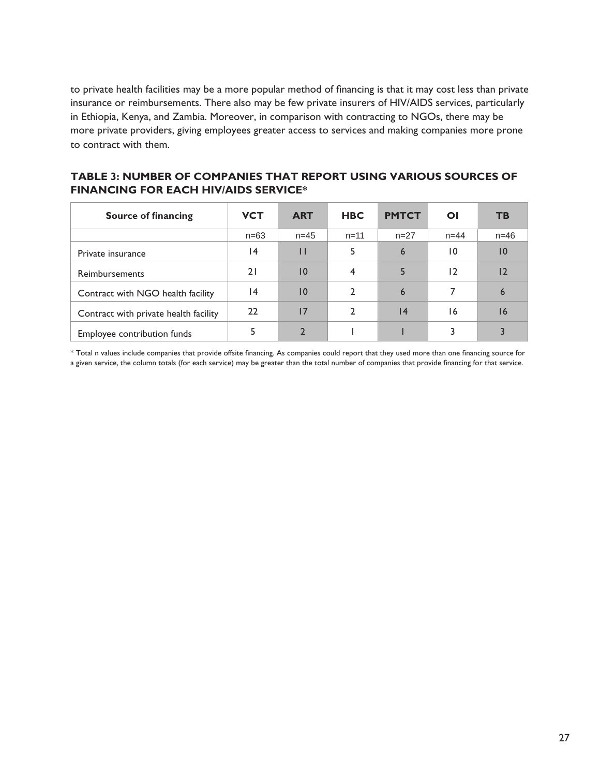to private health facilities may be a more popular method of financing is that it may cost less than private insurance or reimbursements. There also may be few private insurers of HIV/AIDS services, particularly in Ethiopia, Kenya, and Zambia. Moreover, in comparison with contracting to NGOs, there may be more private providers, giving employees greater access to services and making companies more prone to contract with them.

**Table 3: Number of companies that report using various sources of financing for each HIV/AIDS service\*** 

| <b>Source of financing</b>            | <b>VCT</b> | <b>ART</b>      | <b>HBC</b> | <b>PMTCT</b>    | ΟI              | <b>TB</b>       |
|---------------------------------------|------------|-----------------|------------|-----------------|-----------------|-----------------|
|                                       | $n=63$     | $n = 45$        | $n = 11$   | $n=27$          | $n = 44$        | $n = 46$        |
| Private insurance                     | 14         | П               | 5          | 6               | $\overline{10}$ | 10              |
| <b>Reimbursements</b>                 | 21         | $\overline{10}$ | 4          | 5               | 12              | 12              |
| Contract with NGO health facility     | 14         | $\overline{10}$ | 2          | 6               |                 | $6\overline{6}$ |
| Contract with private health facility | 22         | 17              | 2          | $\overline{14}$ | 16              | 16              |
| Employee contribution funds           |            |                 |            |                 | 3               |                 |

\* Total n values include companies that provide offsite financing. As companies could report that they used more than one financing source for a given service, the column totals (for each service) may be greater than the total number of companies that provide financing for that service.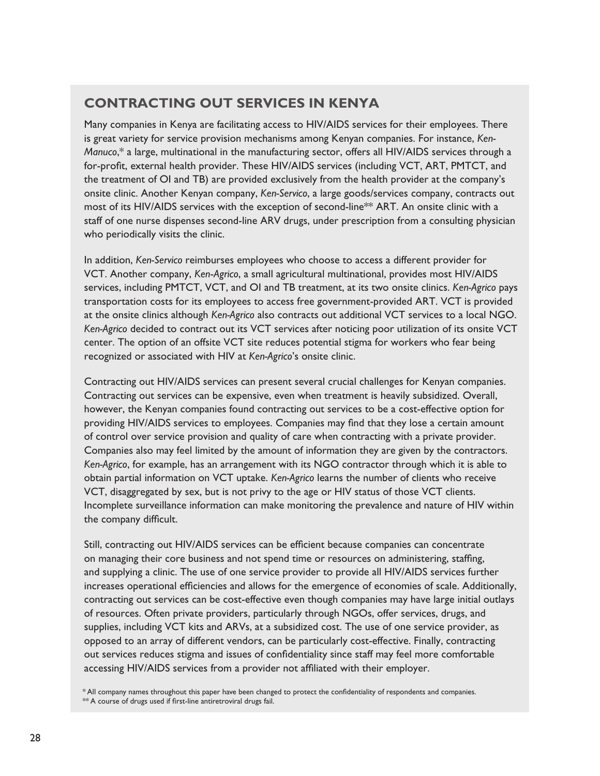# **Contracting Out Services in Kenya**

Many companies in Kenya are facilitating access to HIV/AIDS services for their employees. There is great variety for service provision mechanisms among Kenyan companies. For instance, *Ken-Manuco*,\* a large, multinational in the manufacturing sector, offers all HIV/AIDS services through a for-profit, external health provider. These HIV/AIDS services (including VCT, ART, PMTCT, and the treatment of OI and TB) are provided exclusively from the health provider at the company's onsite clinic. Another Kenyan company, *Ken-Servico*, a large goods/services company, contracts out most of its HIV/AIDS services with the exception of second-line<sup>\*\*</sup> ART. An onsite clinic with a staff of one nurse dispenses second-line ARV drugs, under prescription from a consulting physician who periodically visits the clinic.

In addition, *Ken-Servico* reimburses employees who choose to access a different provider for VCT. Another company, *Ken*-*Agrico*, a small agricultural multinational, provides most HIV/AIDS services, including PMTCT, VCT, and OI and TB treatment, at its two onsite clinics. *Ken-Agrico* pays transportation costs for its employees to access free government-provided ART. VCT is provided at the onsite clinics although *Ken-Agrico* also contracts out additional VCT services to a local NGO. *Ken-Agrico* decided to contract out its VCT services after noticing poor utilization of its onsite VCT center. The option of an offsite VCT site reduces potential stigma for workers who fear being recognized or associated with HIV at *Ken-Agrico*'s onsite clinic.

Contracting out HIV/AIDS services can present several crucial challenges for Kenyan companies. Contracting out services can be expensive, even when treatment is heavily subsidized. Overall, however, the Kenyan companies found contracting out services to be a cost-effective option for providing HIV/AIDS services to employees. Companies may find that they lose a certain amount of control over service provision and quality of care when contracting with a private provider. Companies also may feel limited by the amount of information they are given by the contractors. *Ken-Agrico*, for example, has an arrangement with its NGO contractor through which it is able to obtain partial information on VCT uptake. *Ken-Agrico* learns the number of clients who receive VCT, disaggregated by sex, but is not privy to the age or HIV status of those VCT clients. Incomplete surveillance information can make monitoring the prevalence and nature of HIV within the company difficult.

Still, contracting out HIV/AIDS services can be efficient because companies can concentrate on managing their core business and not spend time or resources on administering, staffing, and supplying a clinic. The use of one service provider to provide all HIV/AIDS services further increases operational efficiencies and allows for the emergence of economies of scale. Additionally, contracting out services can be cost-effective even though companies may have large initial outlays of resources. Often private providers, particularly through NGOs, offer services, drugs, and supplies, including VCT kits and ARVs, at a subsidized cost. The use of one service provider, as opposed to an array of different vendors, can be particularly cost-effective. Finally, contracting out services reduces stigma and issues of confidentiality since staff may feel more comfortable accessing HIV/AIDS services from a provider not affiliated with their employer.

\* All company names throughout this paper have been changed to protect the confidentiality of respondents and companies. \*\* A course of drugs used if first-line antiretroviral drugs fail.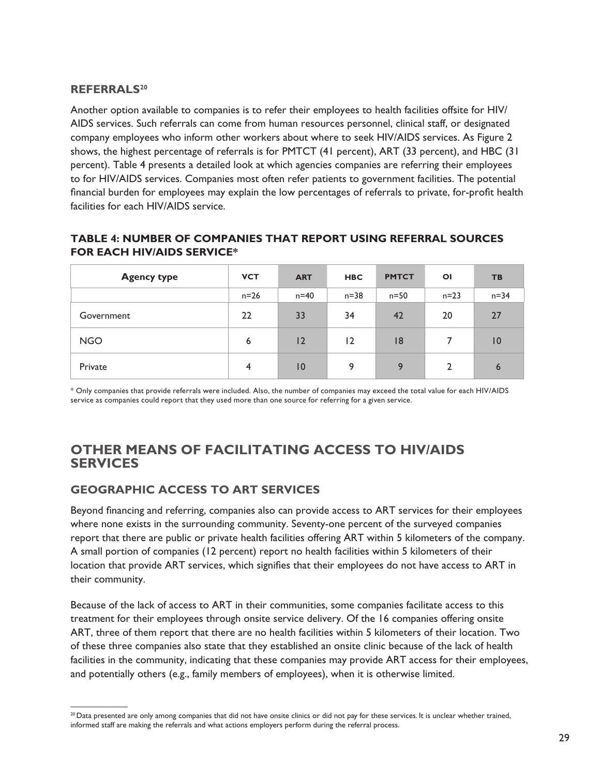#### **Referrals20**

Another option available to companies is to refer their employees to health facilities offsite for HIV/ AIDS services. Such referrals can come from human resources personnel, clinical staff, or designated company employees who inform other workers about where to seek HIV/AIDS services. As Figure 2 shows, the highest percentage of referrals is for PMTCT (41 percent), ART (33 percent), and HBC (31 percent). Table 4 presents a detailed look at which agencies companies are referring their employees to for HIV/AIDS services. Companies most often refer patients to government facilities. The potential financial burden for employees may explain the low percentages of referrals to private, for-profit health facilities for each HIV/AIDS service.

#### **Table 4: Number of companies that report using referral sources for each HIV/AIDS service\***

| <b>Agency type</b> | <b>VCT</b>     | <b>ART</b> | <b>HBC</b> | <b>PMTCT</b> | $\overline{O}$ | <b>TB</b>       |
|--------------------|----------------|------------|------------|--------------|----------------|-----------------|
|                    | $n=26$         | $n=40$     | $n=38$     | $n=50$       | $n = 23$       | $n = 34$        |
| Government         | 22             | 33         | 34         | 42           | 20             | 27              |
| <b>NGO</b>         | 6              | 12         | 12         | 8            | 7              | $\overline{10}$ |
| Private            | $\overline{4}$ | 10         | 9          | 9            | $\overline{2}$ | $\overline{6}$  |

\* Only companies that provide referrals were included. Also, the number of companies may exceed the total value for each HIV/AIDS service as companies could report that they used more than one source for referring for a given service.

## **Other Means of Facilitating Access to HIV/AIDS Services**

## **Geographic Access to ART Services**

Beyond financing and referring, companies also can provide access to ART services for their employees where none exists in the surrounding community. Seventy-one percent of the surveyed companies report that there are public or private health facilities offering ART within 5 kilometers of the company. A small portion of companies (12 percent) report no health facilities within 5 kilometers of their location that provide ART services, which signifies that their employees do not have access to ART in their community.

Because of the lack of access to ART in their communities, some companies facilitate access to this treatment for their employees through onsite service delivery. Of the 16 companies offering onsite ART, three of them report that there are no health facilities within 5 kilometers of their location. Two of these three companies also state that they established an onsite clinic because of the lack of health facilities in the community, indicating that these companies may provide ART access for their employees, and potentially others (e.g., family members of employees), when it is otherwise limited.

<sup>&</sup>lt;sup>20</sup> Data presented are only among companies that did not have onsite clinics or did not pay for these services. It is unclear whether trained, informed staff are making the referrals and what actions employers perform during the referral process.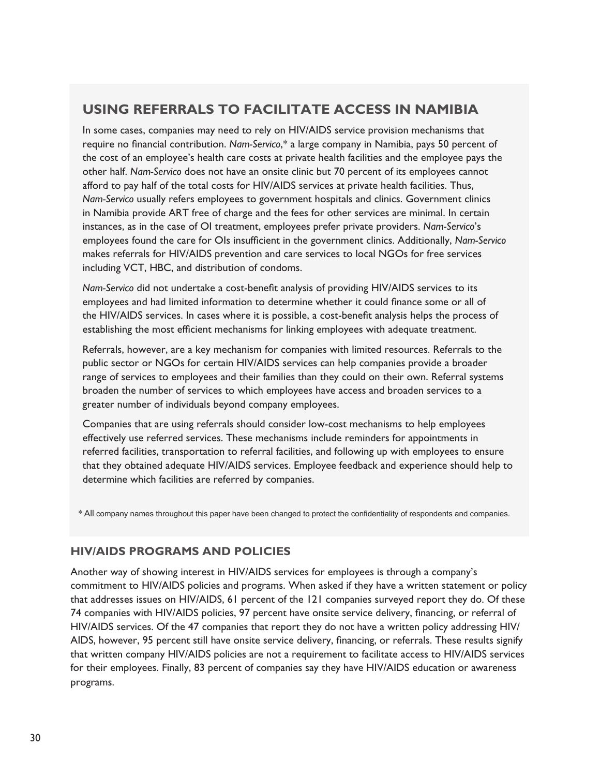# **Using Referrals to Facilitate Access in Namibia**

In some cases, companies may need to rely on HIV/AIDS service provision mechanisms that require no financial contribution. *Nam-Servico*,\* a large company in Namibia, pays 50 percent of the cost of an employee's health care costs at private health facilities and the employee pays the other half. *Nam-Servico* does not have an onsite clinic but 70 percent of its employees cannot afford to pay half of the total costs for HIV/AIDS services at private health facilities. Thus, *Nam-Servico* usually refers employees to government hospitals and clinics. Government clinics in Namibia provide ART free of charge and the fees for other services are minimal. In certain instances, as in the case of OI treatment, employees prefer private providers. *Nam-Servico*'s employees found the care for OIs insufficient in the government clinics. Additionally, *Nam-Servico*  makes referrals for HIV/AIDS prevention and care services to local NGOs for free services including VCT, HBC, and distribution of condoms.

*Nam-Servico* did not undertake a cost-benefit analysis of providing HIV/AIDS services to its employees and had limited information to determine whether it could finance some or all of the HIV/AIDS services. In cases where it is possible, a cost-benefit analysis helps the process of establishing the most efficient mechanisms for linking employees with adequate treatment.

Referrals, however, are a key mechanism for companies with limited resources. Referrals to the public sector or NGOs for certain HIV/AIDS services can help companies provide a broader range of services to employees and their families than they could on their own. Referral systems broaden the number of services to which employees have access and broaden services to a greater number of individuals beyond company employees.

Companies that are using referrals should consider low-cost mechanisms to help employees effectively use referred services. These mechanisms include reminders for appointments in referred facilities, transportation to referral facilities, and following up with employees to ensure that they obtained adequate HIV/AIDS services. Employee feedback and experience should help to determine which facilities are referred by companies.

\* All company names throughout this paper have been changed to protect the confidentiality of respondents and companies.

## **HIV/AIDS Programs and Policies**

Another way of showing interest in HIV/AIDS services for employees is through a company's commitment to HIV/AIDS policies and programs. When asked if they have a written statement or policy that addresses issues on HIV/AIDS, 61 percent of the 121 companies surveyed report they do. Of these 74 companies with HIV/AIDS policies, 97 percent have onsite service delivery, financing, or referral of HIV/AIDS services. Of the 47 companies that report they do not have a written policy addressing HIV/ AIDS, however, 95 percent still have onsite service delivery, financing, or referrals. These results signify that written company HIV/AIDS policies are not a requirement to facilitate access to HIV/AIDS services for their employees. Finally, 83 percent of companies say they have HIV/AIDS education or awareness programs.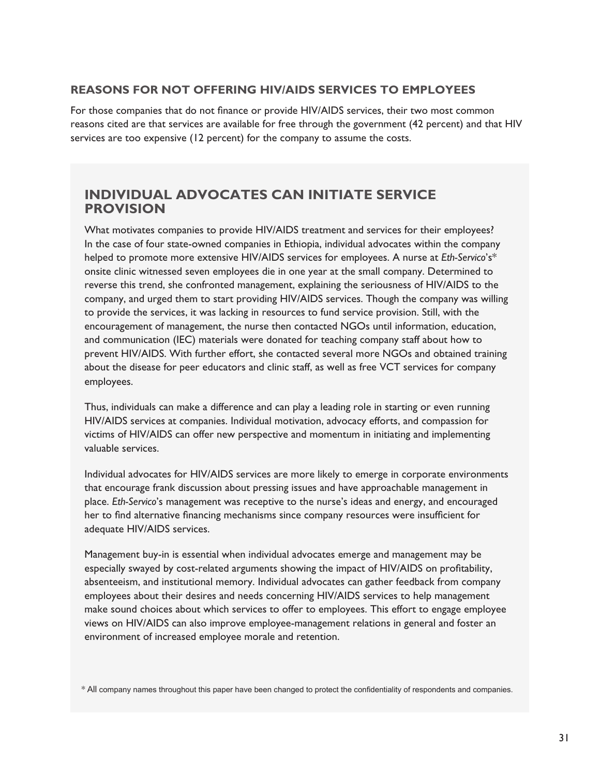### **Reasons for not Offering HIV/AIDS Services to Employees**

For those companies that do not finance or provide HIV/AIDS services, their two most common reasons cited are that services are available for free through the government (42 percent) and that HIV services are too expensive (12 percent) for the company to assume the costs.

## **Individual Advocates Can Initiate Service Provision**

What motivates companies to provide HIV/AIDS treatment and services for their employees? In the case of four state-owned companies in Ethiopia, individual advocates within the company helped to promote more extensive HIV/AIDS services for employees. A nurse at *Eth-Servico*'s\* onsite clinic witnessed seven employees die in one year at the small company. Determined to reverse this trend, she confronted management, explaining the seriousness of HIV/AIDS to the company, and urged them to start providing HIV/AIDS services. Though the company was willing to provide the services, it was lacking in resources to fund service provision. Still, with the encouragement of management, the nurse then contacted NGOs until information, education, and communication (IEC) materials were donated for teaching company staff about how to prevent HIV/AIDS. With further effort, she contacted several more NGOs and obtained training about the disease for peer educators and clinic staff, as well as free VCT services for company employees.

Thus, individuals can make a difference and can play a leading role in starting or even running HIV/AIDS services at companies. Individual motivation, advocacy efforts, and compassion for victims of HIV/AIDS can offer new perspective and momentum in initiating and implementing valuable services.

Individual advocates for HIV/AIDS services are more likely to emerge in corporate environments that encourage frank discussion about pressing issues and have approachable management in place. *Eth-Servico*'s management was receptive to the nurse's ideas and energy, and encouraged her to find alternative financing mechanisms since company resources were insufficient for adequate HIV/AIDS services.

Management buy-in is essential when individual advocates emerge and management may be especially swayed by cost-related arguments showing the impact of HIV/AIDS on profitability, absenteeism, and institutional memory. Individual advocates can gather feedback from company employees about their desires and needs concerning HIV/AIDS services to help management make sound choices about which services to offer to employees. This effort to engage employee views on HIV/AIDS can also improve employee-management relations in general and foster an environment of increased employee morale and retention.

\* All company names throughout this paper have been changed to protect the confidentiality of respondents and companies.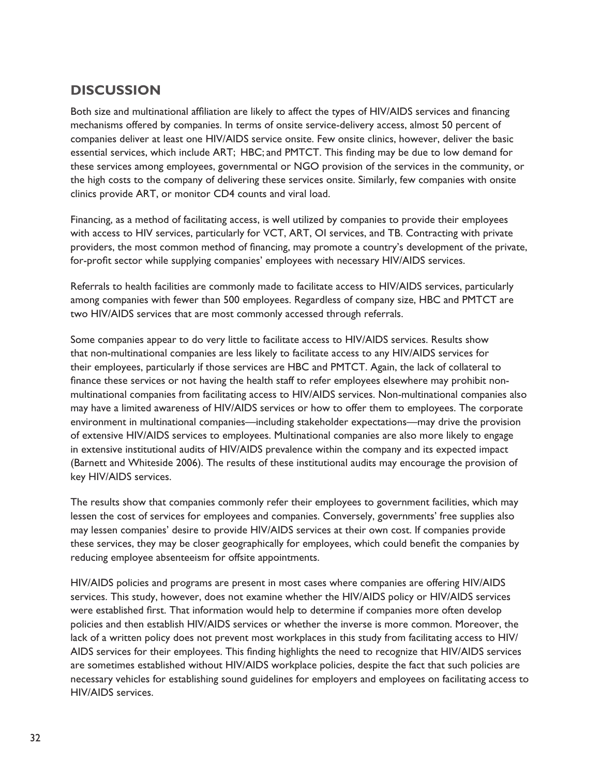# **Discussion**

Both size and multinational affiliation are likely to affect the types of HIV/AIDS services and financing mechanisms offered by companies. In terms of onsite service-delivery access, almost 50 percent of companies deliver at least one HIV/AIDS service onsite. Few onsite clinics, however, deliver the basic essential services, which include ART; HBC; and PMTCT. This finding may be due to low demand for these services among employees, governmental or NGO provision of the services in the community, or the high costs to the company of delivering these services onsite. Similarly, few companies with onsite clinics provide ART, or monitor CD4 counts and viral load.

Financing, as a method of facilitating access, is well utilized by companies to provide their employees with access to HIV services, particularly for VCT, ART, OI services, and TB. Contracting with private providers, the most common method of financing, may promote a country's development of the private, for-profit sector while supplying companies' employees with necessary HIV/AIDS services.

Referrals to health facilities are commonly made to facilitate access to HIV/AIDS services, particularly among companies with fewer than 500 employees. Regardless of company size, HBC and PMTCT are two HIV/AIDS services that are most commonly accessed through referrals.

Some companies appear to do very little to facilitate access to HIV/AIDS services. Results show that non-multinational companies are less likely to facilitate access to any HIV/AIDS services for their employees, particularly if those services are HBC and PMTCT. Again, the lack of collateral to finance these services or not having the health staff to refer employees elsewhere may prohibit nonmultinational companies from facilitating access to HIV/AIDS services. Non-multinational companies also may have a limited awareness of HIV/AIDS services or how to offer them to employees. The corporate environment in multinational companies—including stakeholder expectations—may drive the provision of extensive HIV/AIDS services to employees. Multinational companies are also more likely to engage in extensive institutional audits of HIV/AIDS prevalence within the company and its expected impact (Barnett and Whiteside 2006). The results of these institutional audits may encourage the provision of key HIV/AIDS services.

The results show that companies commonly refer their employees to government facilities, which may lessen the cost of services for employees and companies. Conversely, governments' free supplies also may lessen companies' desire to provide HIV/AIDS services at their own cost. If companies provide these services, they may be closer geographically for employees, which could benefit the companies by reducing employee absenteeism for offsite appointments.

HIV/AIDS policies and programs are present in most cases where companies are offering HIV/AIDS services. This study, however, does not examine whether the HIV/AIDS policy or HIV/AIDS services were established first. That information would help to determine if companies more often develop policies and then establish HIV/AIDS services or whether the inverse is more common. Moreover, the lack of a written policy does not prevent most workplaces in this study from facilitating access to HIV/ AIDS services for their employees. This finding highlights the need to recognize that HIV/AIDS services are sometimes established without HIV/AIDS workplace policies, despite the fact that such policies are necessary vehicles for establishing sound guidelines for employers and employees on facilitating access to HIV/AIDS services.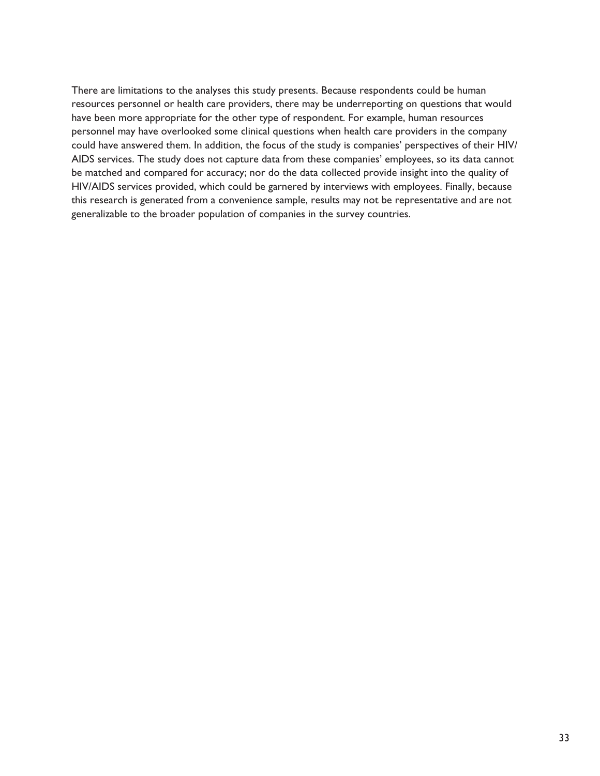There are limitations to the analyses this study presents. Because respondents could be human resources personnel or health care providers, there may be underreporting on questions that would have been more appropriate for the other type of respondent. For example, human resources personnel may have overlooked some clinical questions when health care providers in the company could have answered them. In addition, the focus of the study is companies' perspectives of their HIV/ AIDS services. The study does not capture data from these companies' employees, so its data cannot be matched and compared for accuracy; nor do the data collected provide insight into the quality of HIV/AIDS services provided, which could be garnered by interviews with employees. Finally, because this research is generated from a convenience sample, results may not be representative and are not generalizable to the broader population of companies in the survey countries.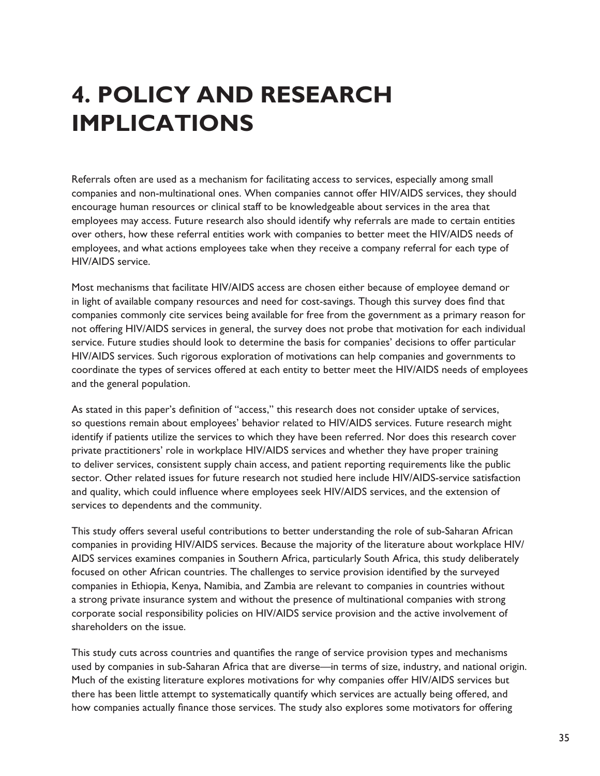# **4. Policy and Research Implications**

Referrals often are used as a mechanism for facilitating access to services, especially among small companies and non-multinational ones. When companies cannot offer HIV/AIDS services, they should encourage human resources or clinical staff to be knowledgeable about services in the area that employees may access. Future research also should identify why referrals are made to certain entities over others, how these referral entities work with companies to better meet the HIV/AIDS needs of employees, and what actions employees take when they receive a company referral for each type of HIV/AIDS service.

Most mechanisms that facilitate HIV/AIDS access are chosen either because of employee demand or in light of available company resources and need for cost-savings. Though this survey does find that companies commonly cite services being available for free from the government as a primary reason for not offering HIV/AIDS services in general, the survey does not probe that motivation for each individual service. Future studies should look to determine the basis for companies' decisions to offer particular HIV/AIDS services. Such rigorous exploration of motivations can help companies and governments to coordinate the types of services offered at each entity to better meet the HIV/AIDS needs of employees and the general population.

As stated in this paper's definition of "access," this research does not consider uptake of services, so questions remain about employees' behavior related to HIV/AIDS services. Future research might identify if patients utilize the services to which they have been referred. Nor does this research cover private practitioners' role in workplace HIV/AIDS services and whether they have proper training to deliver services, consistent supply chain access, and patient reporting requirements like the public sector. Other related issues for future research not studied here include HIV/AIDS-service satisfaction and quality, which could influence where employees seek HIV/AIDS services, and the extension of services to dependents and the community.

This study offers several useful contributions to better understanding the role of sub-Saharan African companies in providing HIV/AIDS services. Because the majority of the literature about workplace HIV/ AIDS services examines companies in Southern Africa, particularly South Africa, this study deliberately focused on other African countries. The challenges to service provision identified by the surveyed companies in Ethiopia, Kenya, Namibia, and Zambia are relevant to companies in countries without a strong private insurance system and without the presence of multinational companies with strong corporate social responsibility policies on HIV/AIDS service provision and the active involvement of shareholders on the issue.

This study cuts across countries and quantifies the range of service provision types and mechanisms used by companies in sub-Saharan Africa that are diverse—in terms of size, industry, and national origin. Much of the existing literature explores motivations for why companies offer HIV/AIDS services but there has been little attempt to systematically quantify which services are actually being offered, and how companies actually finance those services. The study also explores some motivators for offering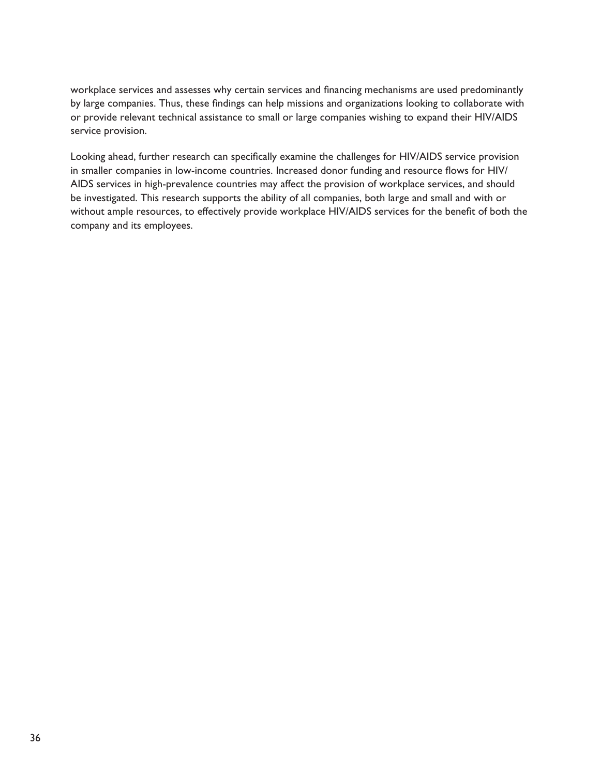workplace services and assesses why certain services and financing mechanisms are used predominantly by large companies. Thus, these findings can help missions and organizations looking to collaborate with or provide relevant technical assistance to small or large companies wishing to expand their HIV/AIDS service provision.

Looking ahead, further research can specifically examine the challenges for HIV/AIDS service provision in smaller companies in low-income countries. Increased donor funding and resource flows for HIV/ AIDS services in high-prevalence countries may affect the provision of workplace services, and should be investigated. This research supports the ability of all companies, both large and small and with or without ample resources, to effectively provide workplace HIV/AIDS services for the benefit of both the company and its employees.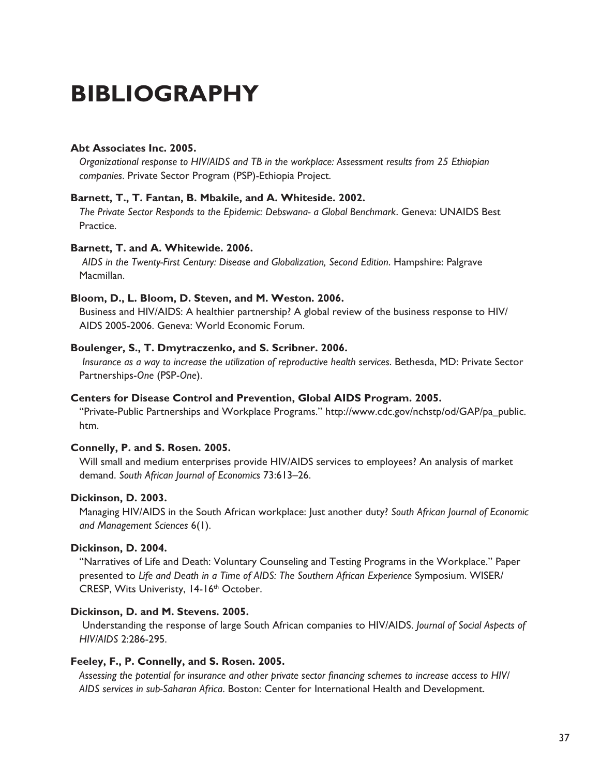# **Bibliography**

#### **Abt Associates Inc. 2005.**

*Organizational response to HIV/AIDS and TB in the workplace: Assessment results from 25 Ethiopian companies*. Private Sector Program (PSP)-Ethiopia Project.

#### **Barnett, T., T. Fantan, B. Mbakile, and A. Whiteside. 2002.**

*The Private Sector Responds to the Epidemic: Debswana- a Global Benchmark*. Geneva: UNAIDS Best Practice.

#### **Barnett, T. and A. Whitewide. 2006.**

*AIDS in the Twenty-First Century: Disease and Globalization, Second Edition*. Hampshire: Palgrave Macmillan.

#### **Bloom, D., L. Bloom, D. Steven, and M. Weston. 2006.**

Business and HIV/AIDS: A healthier partnership? A global review of the business response to HIV/ AIDS 2005-2006. Geneva: World Economic Forum.

#### **Boulenger, S., T. Dmytraczenko, and S. Scribner. 2006.**

*Insurance as a way to increase the utilization of reproductive health services*. Bethesda, MD: Private Sector Partnerships-*One* (PSP-*One*).

#### **Centers for Disease Control and Prevention, Global AIDS Program. 2005.**

"Private-Public Partnerships and Workplace Programs." http://www.cdc.gov/nchstp/od/GAP/pa\_public. htm.

#### **Connelly, P. and S. Rosen. 2005.**

Will small and medium enterprises provide HIV/AIDS services to employees? An analysis of market demand. *South African Journal of Economics* 73:613–26.

#### **Dickinson, D. 2003.**

Managing HIV/AIDS in the South African workplace: Just another duty? *South African Journal of Economic and Management Sciences* 6(1).

#### **Dickinson, D. 2004.**

"Narratives of Life and Death: Voluntary Counseling and Testing Programs in the Workplace." Paper presented to *Life and Death in a Time of AIDS: The Southern African Experience* Symposium. WISER/ CRESP, Wits Univeristy, 14-16<sup>th</sup> October.

#### **Dickinson, D. and M. Stevens. 2005.**

 Understanding the response of large South African companies to HIV/AIDS. *Journal of Social Aspects of HIV/AIDS* 2:286-295.

#### **Feeley, F., P. Connelly, and S. Rosen. 2005.**

*Assessing the potential for insurance and other private sector financing schemes to increase access to HIV/ AIDS services in sub-Saharan Africa*. Boston: Center for International Health and Development.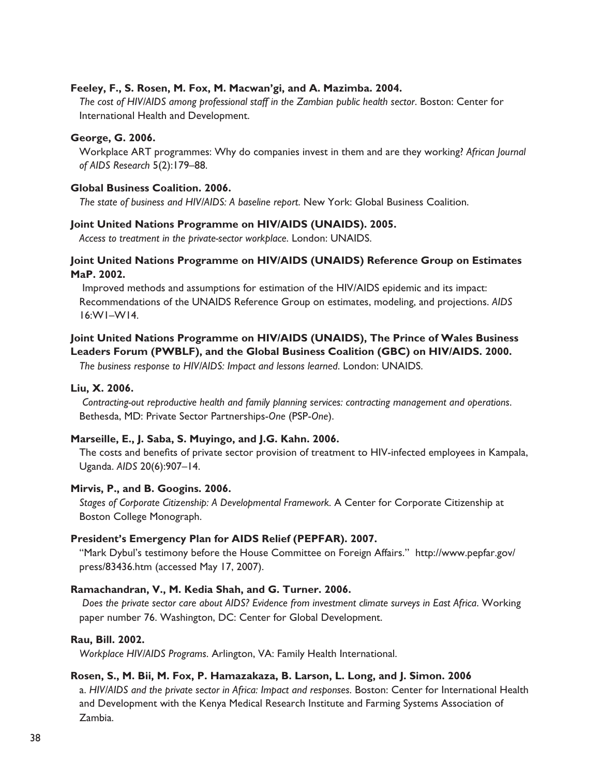#### **Feeley, F., S. Rosen, M. Fox, M. Macwan'gi, and A. Mazimba. 2004.**

*The cost of HIV/AIDS among professional staff in the Zambian public health sector*. Boston: Center for International Health and Development.

#### **George, G. 2006.**

Workplace ART programmes: Why do companies invest in them and are they working? *African Journal of AIDS Research* 5(2):179–88.

#### **Global Business Coalition. 2006.**

*The state of business and HIV/AIDS: A baseline report*. New York: Global Business Coalition.

#### **Joint United Nations Programme on HIV/AIDS (UNAIDS). 2005.**

*Access to treatment in the private-sector workplace*. London: UNAIDS.

#### **Joint United Nations Programme on HIV/AIDS (UNAIDS) Reference Group on Estimates MaP. 2002.**

 Improved methods and assumptions for estimation of the HIV/AIDS epidemic and its impact: Recommendations of the UNAIDS Reference Group on estimates, modeling, and projections. *AIDS* 16:W1–W14.

#### **Joint United Nations Programme on HIV/AIDS (UNAIDS), The Prince of Wales Business Leaders Forum (PWBLF), and the Global Business Coalition (GBC) on HIV/AIDS. 2000.**

*The business response to HIV/AIDS: Impact and lessons learned*. London: UNAIDS.

#### **Liu, X. 2006.**

*Contracting-out reproductive health and family planning services: contracting management and operations*. Bethesda, MD: Private Sector Partnerships-*One* (PSP-*One*).

#### **Marseille, E., J. Saba, S. Muyingo, and J.G. Kahn. 2006.**

The costs and benefits of private sector provision of treatment to HIV-infected employees in Kampala, Uganda. *AIDS* 20(6):907–14.

#### **Mirvis, P., and B. Googins. 2006.**

*Stages of Corporate Citizenship: A Developmental Framework.* A Center for Corporate Citizenship at Boston College Monograph.

#### **President's Emergency Plan for AIDS Relief (PEPFAR). 2007.**

"Mark Dybul's testimony before the House Committee on Foreign Affairs." http://www.pepfar.gov/ press/83436.htm (accessed May 17, 2007).

#### **Ramachandran, V., M. Kedia Shah, and G. Turner. 2006.**

*Does the private sector care about AIDS? Evidence from investment climate surveys in East Africa*. Working paper number 76. Washington, DC: Center for Global Development.

#### **Rau, Bill. 2002.**

*Workplace HIV/AIDS Programs*. Arlington, VA: Family Health International.

#### **Rosen, S., M. Bii, M. Fox, P. Hamazakaza, B. Larson, L. Long, and J. Simon. 2006**

a. *HIV/AIDS and the private sector in Africa: Impact and responses*. Boston: Center for International Health and Development with the Kenya Medical Research Institute and Farming Systems Association of Zambia.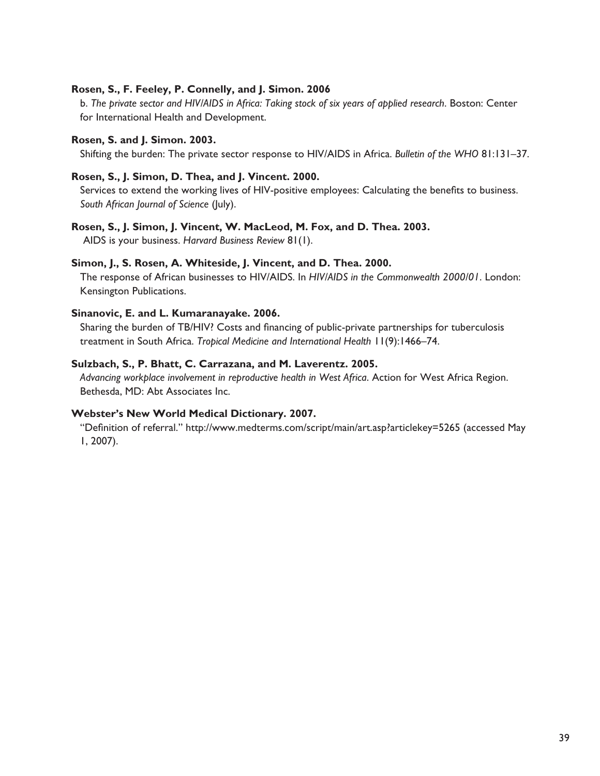#### **Rosen, S., F. Feeley, P. Connelly, and J. Simon. 2006**

b. *The private sector and HIV/AIDS in Africa: Taking stock of six years of applied research*. Boston: Center for International Health and Development.

#### **Rosen, S. and J. Simon. 2003.**

Shifting the burden: The private sector response to HIV/AIDS in Africa. *Bulletin of the WHO* 81:131–37.

#### **Rosen, S., J. Simon, D. Thea, and J. Vincent. 2000.**

Services to extend the working lives of HIV-positive employees: Calculating the benefits to business. *South African Journal of Science* (July).

#### **Rosen, S., J. Simon, J. Vincent, W. MacLeod, M. Fox, and D. Thea. 2003.**

AIDS is your business. *Harvard Business Review* 81(1).

#### **Simon, J., S. Rosen, A. Whiteside, J. Vincent, and D. Thea. 2000.**

The response of African businesses to HIV/AIDS. In *HIV/AIDS in the Commonwealth 2000/01*. London: Kensington Publications.

#### **Sinanovic, E. and L. Kumaranayake. 2006.**

Sharing the burden of TB/HIV? Costs and financing of public-private partnerships for tuberculosis treatment in South Africa. *Tropical Medicine and International Health* 11(9):1466–74.

#### **Sulzbach, S., P. Bhatt, C. Carrazana, and M. Laverentz. 2005.**

*Advancing workplace involvement in reproductive health in West Africa*. Action for West Africa Region. Bethesda, MD: Abt Associates Inc.

#### **Webster's New World Medical Dictionary. 2007.**

"Definition of referral." http://www.medterms.com/script/main/art.asp?articlekey=5265 (accessed May 1, 2007).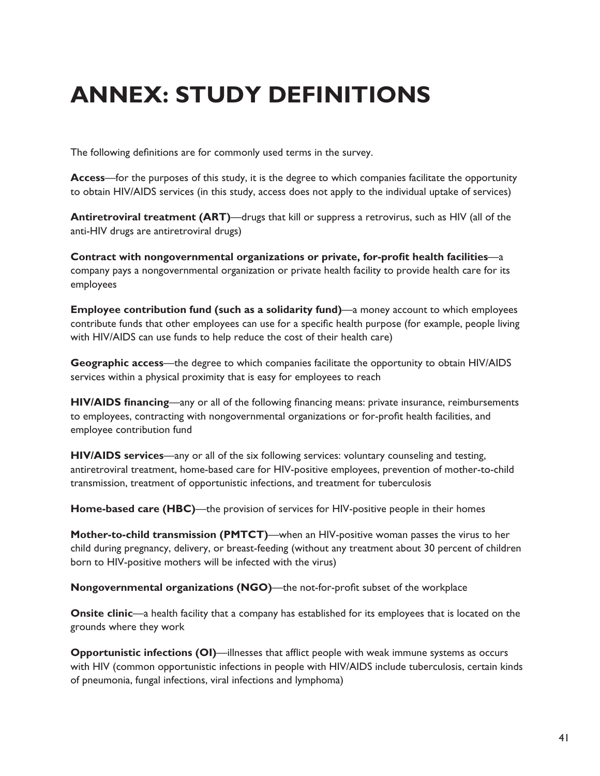# **Annex: Study Definitions**

The following definitions are for commonly used terms in the survey.

**Access**—for the purposes of this study, it is the degree to which companies facilitate the opportunity to obtain HIV/AIDS services (in this study, access does not apply to the individual uptake of services)

**Antiretroviral treatment (ART)—drugs that kill or suppress a retrovirus, such as HIV (all of the** anti-HIV drugs are antiretroviral drugs)

**Contract with nongovernmental organizations or private, for-profit health facilities**—a company pays a nongovernmental organization or private health facility to provide health care for its employees

**Employee contribution fund (such as a solidarity fund)**—a money account to which employees contribute funds that other employees can use for a specific health purpose (for example, people living with HIV/AIDS can use funds to help reduce the cost of their health care)

**Geographic access**—the degree to which companies facilitate the opportunity to obtain HIV/AIDS services within a physical proximity that is easy for employees to reach

**HIV/AIDS financing**—any or all of the following financing means: private insurance, reimbursements to employees, contracting with nongovernmental organizations or for-profit health facilities, and employee contribution fund

**HIV/AIDS services**—any or all of the six following services: voluntary counseling and testing, antiretroviral treatment, home-based care for HIV-positive employees, prevention of mother-to-child transmission, treatment of opportunistic infections, and treatment for tuberculosis

**Home-based care (HBC)**—the provision of services for HIV-positive people in their homes

**Mother-to-child transmission (PMTCT)**—when an HIV-positive woman passes the virus to her child during pregnancy, delivery, or breast-feeding (without any treatment about 30 percent of children born to HIV-positive mothers will be infected with the virus)

**Nongovernmental organizations (NGO)**—the not-for-profit subset of the workplace

**Onsite clinic—a** health facility that a company has established for its employees that is located on the grounds where they work

**Opportunistic infections (OI)—illnesses that afflict people with weak immune systems as occurs** with HIV (common opportunistic infections in people with HIV/AIDS include tuberculosis, certain kinds of pneumonia, fungal infections, viral infections and lymphoma)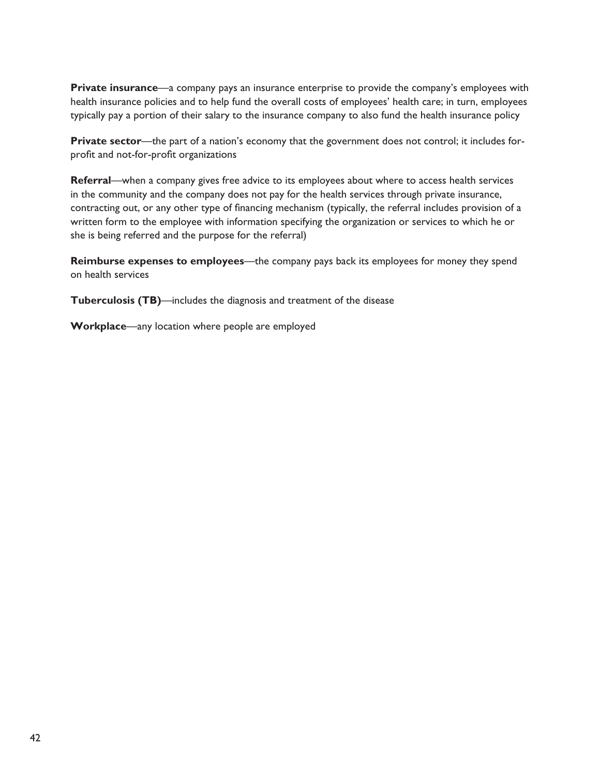**Private insurance**—a company pays an insurance enterprise to provide the company's employees with health insurance policies and to help fund the overall costs of employees' health care; in turn, employees typically pay a portion of their salary to the insurance company to also fund the health insurance policy

**Private sector**—the part of a nation's economy that the government does not control; it includes forprofit and not-for-profit organizations

**Referral**—when a company gives free advice to its employees about where to access health services in the community and the company does not pay for the health services through private insurance, contracting out, or any other type of financing mechanism (typically, the referral includes provision of a written form to the employee with information specifying the organization or services to which he or she is being referred and the purpose for the referral)

**Reimburse expenses to employees**—the company pays back its employees for money they spend on health services

**Tuberculosis (TB)**—includes the diagnosis and treatment of the disease

**Workplace**—any location where people are employed